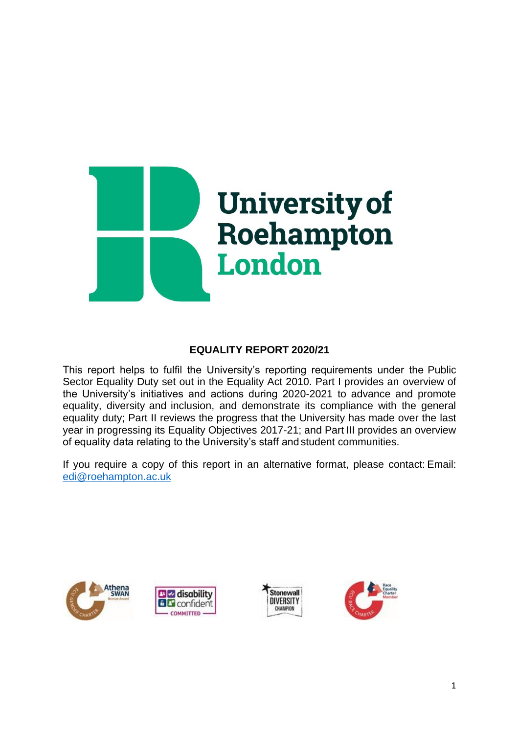

## **EQUALITY REPORT 2020/21**

This report helps to fulfil the University's reporting requirements under the Public Sector Equality Duty set out in the Equality Act 2010. Part I provides an overview of the University's initiatives and actions during 2020-2021 to advance and promote equality, diversity and inclusion, and demonstrate its compliance with the general equality duty; Part II reviews the progress that the University has made over the last year in progressing its Equality Objectives 2017-21; and Part III provides an overview of equality data relating to the University's staff and student communities.

If you require a copy of this report in an alternative format, please contact: Email: [edi@roehampton.ac.uk](mailto:edi@roehampton.ac.uk)







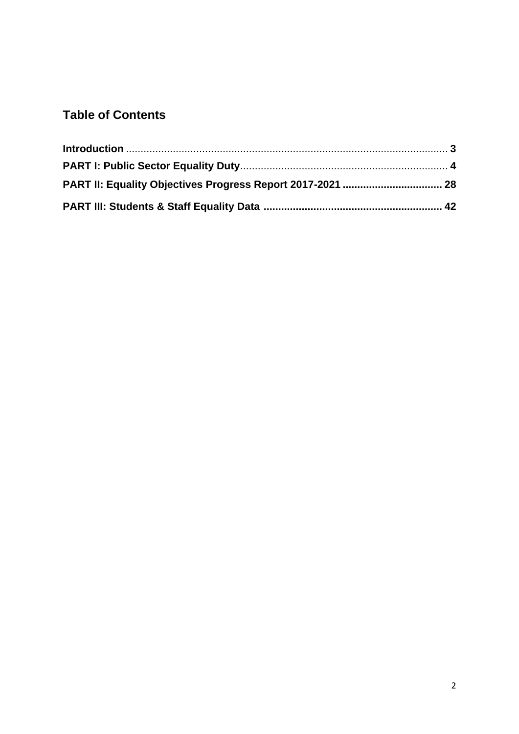# **Table of Contents**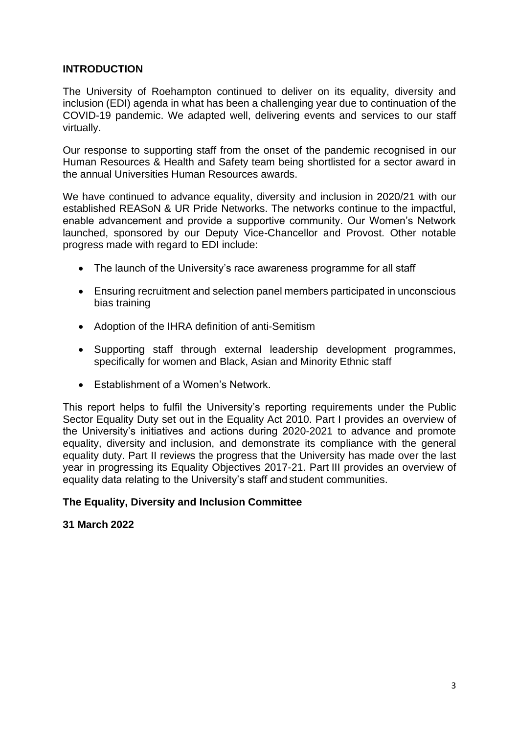#### **INTRODUCTION**

The University of Roehampton continued to deliver on its equality, diversity and inclusion (EDI) agenda in what has been a challenging year due to continuation of the COVID-19 pandemic. We adapted well, delivering events and services to our staff virtually.

Our response to supporting staff from the onset of the pandemic recognised in our Human Resources & Health and Safety team being shortlisted for a sector award in the annual Universities Human Resources awards.

We have continued to advance equality, diversity and inclusion in 2020/21 with our established REASoN & UR Pride Networks. The networks continue to the impactful, enable advancement and provide a supportive community. Our Women's Network launched, sponsored by our Deputy Vice-Chancellor and Provost. Other notable progress made with regard to EDI include:

- The launch of the University's race awareness programme for all staff
- Ensuring recruitment and selection panel members participated in unconscious bias training
- Adoption of the IHRA definition of anti-Semitism
- Supporting staff through external leadership development programmes, specifically for women and Black, Asian and Minority Ethnic staff
- Establishment of a Women's Network.

This report helps to fulfil the University's reporting requirements under the Public Sector Equality Duty set out in the Equality Act 2010. Part I provides an overview of the University's initiatives and actions during 2020-2021 to advance and promote equality, diversity and inclusion, and demonstrate its compliance with the general equality duty. Part II reviews the progress that the University has made over the last year in progressing its Equality Objectives 2017-21. Part III provides an overview of equality data relating to the University's staff and student communities.

### **The Equality, Diversity and Inclusion Committee**

#### **31 March 2022**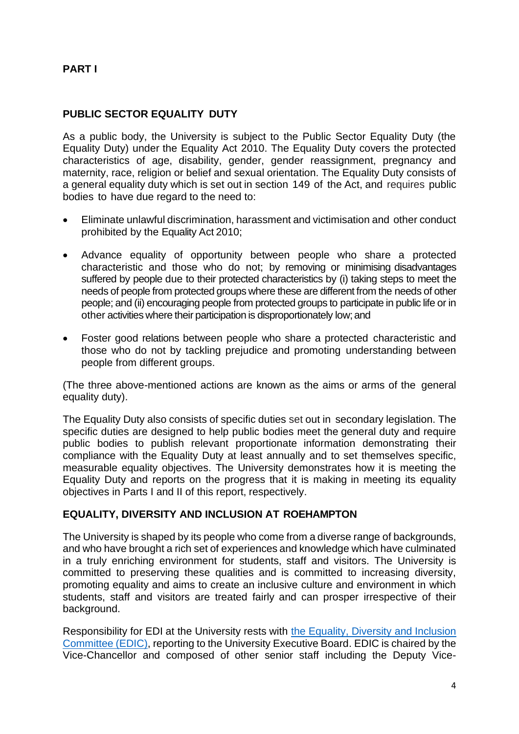## **PART I**

#### **PUBLIC SECTOR EQUALITY DUTY**

As a public body, the University is subject to the Public Sector Equality Duty (the Equality Duty) under the Equality Act 2010. The Equality Duty covers the protected characteristics of age, disability, gender, gender reassignment, pregnancy and maternity, race, religion or belief and sexual orientation. The Equality Duty consists of a general equality duty which is set out in section 149 of the Act, and requires public bodies to have due regard to the need to:

- Eliminate unlawful discrimination, harassment and victimisation and other conduct prohibited by the Equality Act 2010;
- Advance equality of opportunity between people who share a protected characteristic and those who do not; by removing or minimising disadvantages suffered by people due to their protected characteristics by (i) taking steps to meet the needs of people from protected groups where these are different from the needs of other people; and (ii) encouraging people from protected groups to participate in public life or in other activities where their participation is disproportionately low;and
- Foster good relations between people who share a protected characteristic and those who do not by tackling prejudice and promoting understanding between people from different groups.

(The three above-mentioned actions are known as the aims or arms of the general equality duty).

The Equality Duty also consists of specific duties set out in secondary legislation. The specific duties are designed to help public bodies meet the general duty and require public bodies to publish relevant proportionate information demonstrating their compliance with the Equality Duty at least annually and to set themselves specific, measurable equality objectives. The University demonstrates how it is meeting the Equality Duty and reports on the progress that it is making in meeting its equality objectives in Parts I and II of this report, respectively.

#### **EQUALITY, DIVERSITY AND INCLUSION AT ROEHAMPTON**

The University is shaped by its people who come from a diverse range of backgrounds, and who have brought a rich set of experiences and knowledge which have culminated in a truly enriching environment for students, staff and visitors. The University is committed to preserving these qualities and is committed to increasing diversity, promoting equality and aims to create an inclusive culture and environment in which students, staff and visitors are treated fairly and can prosper irrespective of their background.

Responsibility for EDI at the University rests with the Equality, Diversity and Inclusion Committee (EDIC), reporting to the University Executive Board. EDIC is chaired by the Vice-Chancellor and composed of other senior staff including the Deputy Vice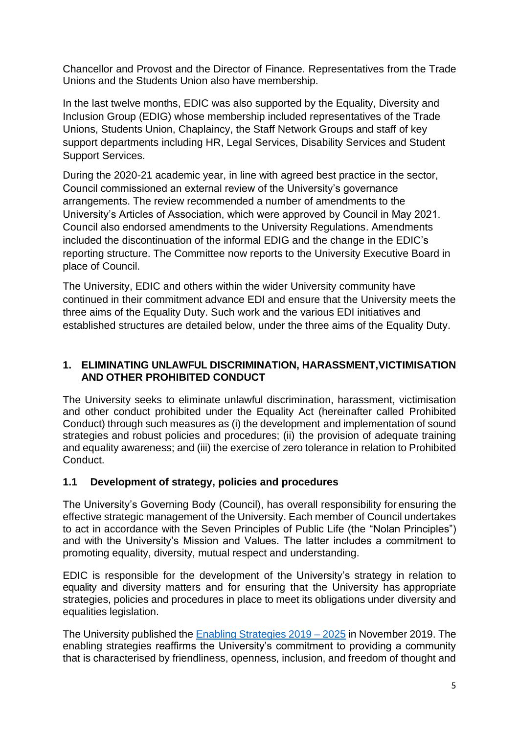Chancellor and Provost and the Director of Finance. Representatives from the Trade Unions and the Students Union also have membership.

In the last twelve months, EDIC was also supported by the Equality, Diversity and Inclusion Group (EDIG) whose membership included representatives of the Trade Unions, Students Union, Chaplaincy, the Staff Network Groups and staff of key support departments including HR, Legal Services, Disability Services and Student Support Services.

During the 2020-21 academic year, in line with agreed best practice in the sector, Council commissioned an external review of the University's governance arrangements. The review recommended a number of amendments to the University's Articles of Association, which were approved by Council in May 2021. Council also endorsed amendments to the University Regulations. Amendments included the discontinuation of the informal EDIG and the change in the EDIC's reporting structure. The Committee now reports to the University Executive Board in place of Council.

The University, EDIC and others within the wider University community have continued in their commitment advance EDI and ensure that the University meets the three aims of the Equality Duty. Such work and the various EDI initiatives and established structures are detailed below, under the three aims of the Equality Duty.

### **1. ELIMINATING UNLAWFUL DISCRIMINATION, HARASSMENT,VICTIMISATION AND OTHER PROHIBITED CONDUCT**

The University seeks to eliminate unlawful discrimination, harassment, victimisation and other conduct prohibited under the Equality Act (hereinafter called Prohibited Conduct) through such measures as (i) the development and implementation of sound strategies and robust policies and procedures; (ii) the provision of adequate training and equality awareness; and (iii) the exercise of zero tolerance in relation to Prohibited Conduct.

### **1.1 Development of strategy, policies and procedures**

The University's Governing Body (Council), has overall responsibility for ensuring the effective strategic management of the University. Each member of Council undertakes to act in accordance with the Seven Principles of Public Life (the "Nolan Principles") and with the University's Mission and Values. The latter includes a commitment to promoting equality, diversity, mutual respect and understanding.

EDIC is responsible for the development of the University's strategy in relation to equality and diversity matters and for ensuring that the University has appropriate strategies, policies and procedures in place to meet its obligations under diversity and equalities legislation.

The University published the [Enabling Strategies 2019 –](https://www.roehampton.ac.uk/globalassets/documents/corporate-information/enabling-strategies-2019-2025.pdf) 2025 in November 2019. The enabling strategies reaffirms the University's commitment to providing a community that is characterised by friendliness, openness, inclusion, and freedom of thought and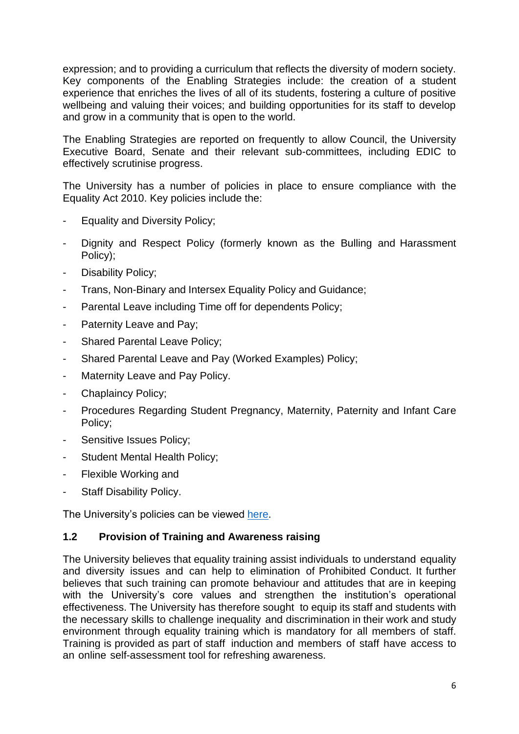expression; and to providing a curriculum that reflects the diversity of modern society. Key components of the Enabling Strategies include: the creation of a student experience that enriches the lives of all of its students, fostering a culture of positive wellbeing and valuing their voices; and building opportunities for its staff to develop and grow in a community that is open to the world.

The Enabling Strategies are reported on frequently to allow Council, the University Executive Board, Senate and their relevant sub-committees, including EDIC to effectively scrutinise progress.

The University has a number of policies in place to ensure compliance with the Equality Act 2010. Key policies include the:

- Equality and Diversity Policy;
- Dignity and Respect Policy (formerly known as the Bulling and Harassment Policy);
- Disability Policy;
- Trans, Non-Binary and Intersex Equality Policy and Guidance;
- Parental Leave including Time off for dependents Policy;
- Paternity Leave and Pay;
- Shared Parental Leave Policy;
- Shared Parental Leave and Pay (Worked Examples) Policy;
- Maternity Leave and Pay Policy.
- Chaplaincy Policy;
- Procedures Regarding Student Pregnancy, Maternity, Paternity and Infant Care Policy;
- Sensitive Issues Policy;
- Student Mental Health Policy;
- Flexible Working and
- Staff Disability Policy.

The University's policies can be viewed [here.](https://www.roehampton.ac.uk/corporate-information/policies/)

#### **1.2 Provision of Training and Awareness raising**

The University believes that equality training assist individuals to understand equality and diversity issues and can help to elimination of Prohibited Conduct. It further believes that such training can promote behaviour and attitudes that are in keeping with the University's core values and strengthen the institution's operational effectiveness. The University has therefore sought to equip its staff and students with the necessary skills to challenge inequality and discrimination in their work and study environment through equality training which is mandatory for all members of staff. Training is provided as part of staff induction and members of staff have access to an online self-assessment tool for refreshing awareness.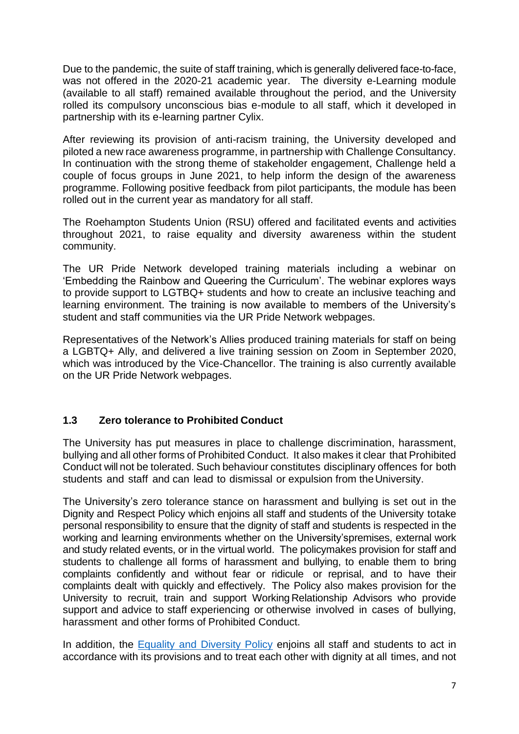Due to the pandemic, the suite of staff training, which is generally delivered face-to-face, was not offered in the 2020-21 academic year. The diversity e-Learning module (available to all staff) remained available throughout the period, and the University rolled its compulsory unconscious bias e-module to all staff, which it developed in partnership with its e-learning partner Cylix.

After reviewing its provision of anti-racism training, the University developed and piloted a new race awareness programme, in partnership with Challenge Consultancy. In continuation with the strong theme of stakeholder engagement, Challenge held a couple of focus groups in June 2021, to help inform the design of the awareness programme. Following positive feedback from pilot participants, the module has been rolled out in the current year as mandatory for all staff.

The Roehampton Students Union (RSU) offered and facilitated events and activities throughout 2021, to raise equality and diversity awareness within the student community.

The UR Pride Network developed training materials including a webinar on 'Embedding the Rainbow and Queering the Curriculum'. The webinar explores ways to provide support to LGTBQ+ students and how to create an inclusive teaching and learning environment. The training is now available to members of the University's student and staff communities via the UR Pride Network webpages.

Representatives of the Network's Allies produced training materials for staff on being a LGBTQ+ Ally, and delivered a live training session on Zoom in September 2020, which was introduced by the Vice-Chancellor. The training is also currently available on the UR Pride Network webpages.

## **1.3 Zero tolerance to Prohibited Conduct**

The University has put measures in place to challenge discrimination, harassment, bullying and all other forms of Prohibited Conduct. It also makes it clear that Prohibited Conduct will not be tolerated. Such behaviour constitutes disciplinary offences for both students and staff and can lead to dismissal or expulsion from the University.

The University's zero tolerance stance on harassment and bullying is set out in the Dignity and Respect Policy which enjoins all staff and students of the University totake personal responsibility to ensure that the dignity of staff and students is respected in the working and learning environments whether on the University'spremises, external work and study related events, or in the virtual world. The policymakes provision for staff and students to challenge all forms of harassment and bullying, to enable them to bring complaints confidently and without fear or ridicule or reprisal, and to have their complaints dealt with quickly and effectively. The Policy also makes provision for the University to recruit, train and support Working Relationship Advisors who provide support and advice to staff experiencing or otherwise involved in cases of bullying, harassment and other forms of Prohibited Conduct.

In addition, the Equality and [Diversity](https://www.roehampton.ac.uk/globalassets/documents/corporate-information/policies/equality-diversity-policy.pdf) Policy enjoins all staff and students to act in accordance with its provisions and to treat each other with dignity at all times, and not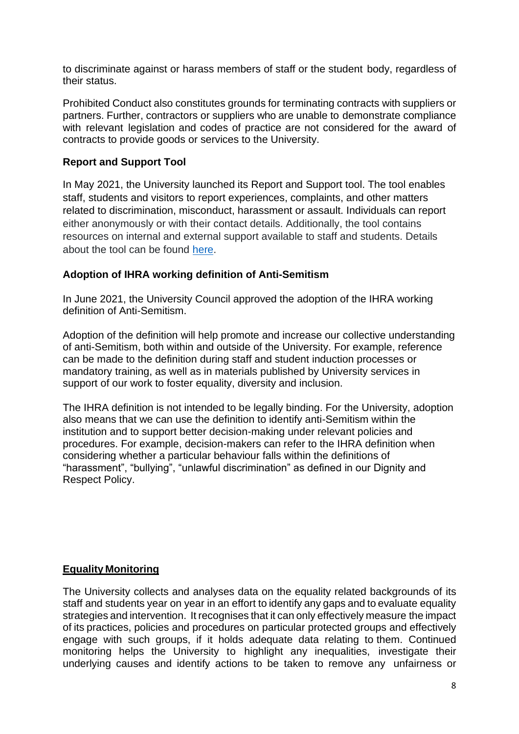to discriminate against or harass members of staff or the student body, regardless of their status.

Prohibited Conduct also constitutes grounds for terminating contracts with suppliers or partners. Further, contractors or suppliers who are unable to demonstrate compliance with relevant legislation and codes of practice are not considered for the award of contracts to provide goods or services to the University.

## **Report and Support Tool**

In May 2021, the University launched its Report and Support tool. The tool enables staff, students and visitors to report experiences, complaints, and other matters related to discrimination, misconduct, harassment or assault. Individuals can report either anonymously or with their contact details. Additionally, the tool contains resources on internal and external support available to staff and students. Details about the tool can be found [here.](https://reportandsupport.roehampton.ac.uk/)

### **Adoption of IHRA working definition of Anti-Semitism**

In June 2021, the University Council approved the adoption of the IHRA working definition of Anti-Semitism.

Adoption of the definition will help promote and increase our collective understanding of anti-Semitism, both within and outside of the University. For example, reference can be made to the definition during staff and student induction processes or mandatory training, as well as in materials published by University services in support of our work to foster equality, diversity and inclusion.

The IHRA definition is not intended to be legally binding. For the University, adoption also means that we can use the definition to identify anti-Semitism within the institution and to support better decision-making under relevant policies and procedures. For example, decision-makers can refer to the IHRA definition when considering whether a particular behaviour falls within the definitions of "harassment", "bullying", "unlawful discrimination" as defined in our Dignity and Respect Policy.

## **Equality Monitoring**

The University collects and analyses data on the equality related backgrounds of its staff and students year on year in an effort to identify any gaps and to evaluate equality strategies and intervention. It recognises that it can only effectively measure the impact of its practices, policies and procedures on particular protected groups and effectively engage with such groups, if it holds adequate data relating to them. Continued monitoring helps the University to highlight any inequalities, investigate their underlying causes and identify actions to be taken to remove any unfairness or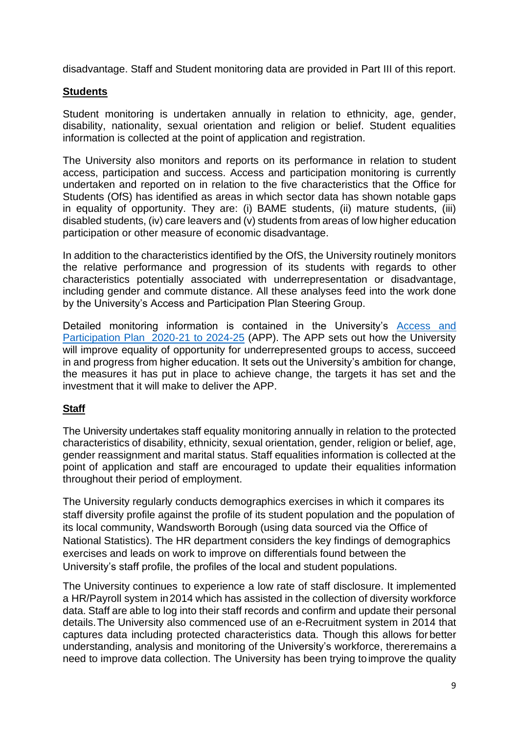disadvantage. Staff and Student monitoring data are provided in Part III of this report.

## **Students**

Student monitoring is undertaken annually in relation to ethnicity, age, gender, disability, nationality, sexual orientation and religion or belief. Student equalities information is collected at the point of application and registration.

The University also monitors and reports on its performance in relation to student access, participation and success. Access and participation monitoring is currently undertaken and reported on in relation to the five characteristics that the Office for Students (OfS) has identified as areas in which sector data has shown notable gaps in equality of opportunity. They are: (i) BAME students, (ii) mature students, (iii) disabled students, (iv) care leavers and (v) students from areas of low higher education participation or other measure of economic disadvantage.

In addition to the characteristics identified by the OfS, the University routinely monitors the relative performance and progression of its students with regards to other characteristics potentially associated with underrepresentation or disadvantage, including gender and commute distance. All these analyses feed into the work done by the University's Access and Participation Plan Steering Group.

Detailed monitoring information is contained in the University's [Access and](https://www.roehampton.ac.uk/globalassets/documents/corporate-information/access-and-participation-plan-2020-21.pdf)  [Participation Plan 2020-21 to 2024-25](https://www.roehampton.ac.uk/globalassets/documents/corporate-information/access-and-participation-plan-2020-21.pdf) (APP). The APP sets out how the University will improve equality of opportunity for underrepresented groups to access, succeed in and progress from higher education. It sets out the University's ambition for change, the measures it has put in place to achieve change, the targets it has set and the investment that it will make to deliver the APP.

### **Staff**

The University undertakes staff equality monitoring annually in relation to the protected characteristics of disability, ethnicity, sexual orientation, gender, religion or belief, age, gender reassignment and marital status. Staff equalities information is collected at the point of application and staff are encouraged to update their equalities information throughout their period of employment.

The University regularly conducts demographics exercises in which it compares its staff diversity profile against the profile of its student population and the population of its local community, Wandsworth Borough (using data sourced via the Office of National Statistics). The HR department considers the key findings of demographics exercises and leads on work to improve on differentials found between the University's staff profile, the profiles of the local and student populations.

The University continues to experience a low rate of staff disclosure. It implemented a HR/Payroll system in2014 which has assisted in the collection of diversity workforce data. Staff are able to log into their staff records and confirm and update their personal details.The University also commenced use of an e-Recruitment system in 2014 that captures data including protected characteristics data. Though this allows forbetter understanding, analysis and monitoring of the University's workforce, thereremains a need to improve data collection. The University has been trying toimprove the quality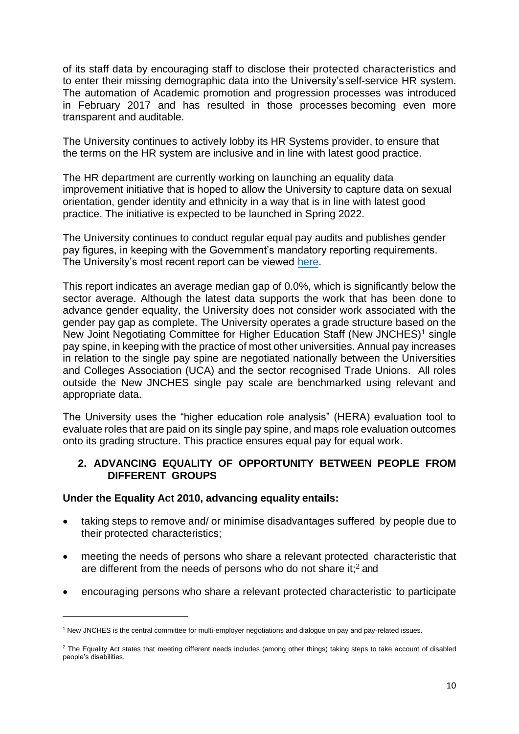of its staff data by encouraging staff to disclose their protected characteristics and to enter their missing demographic data into the University'sself-service HR system. The automation of Academic promotion and progression processes was introduced in February 2017 and has resulted in those processes becoming even more transparent and auditable.

The University continues to actively lobby its HR Systems provider, to ensure that the terms on the HR system are inclusive and in line with latest good practice.

The HR department are currently working on launching an equality data improvement initiative that is hoped to allow the University to capture data on sexual orientation, gender identity and ethnicity in a way that is in line with latest good practice. The initiative is expected to be launched in Spring 2022.

The University continues to conduct regular equal pay audits and publishes gender pay figures, in keeping with the Government's mandatory reporting requirements. The University's most recent report can be viewed [here.](https://www.roehampton.ac.uk/globalassets/documents/corporate-information/university-of-roehampton-gender-pay-gap-report-march-31-2021.pdf)

This report indicates an average median gap of 0.0%, which is significantly below the sector average. Although the latest data supports the work that has been done to advance gender equality, the University does not consider work associated with the gender pay gap as complete. The University operates a grade structure based on the New Joint Negotiating Committee for Higher Education Staff (New JNCHES)<sup>1</sup> single pay spine, in keeping with the practice of most other universities. Annual pay increases in relation to the single pay spine are negotiated nationally between the Universities and Colleges Association (UCA) and the sector recognised Trade Unions. All roles outside the New JNCHES single pay scale are benchmarked using relevant and appropriate data.

The University uses the "higher education role analysis" (HERA) evaluation tool to evaluate roles that are paid on its single pay spine, and maps role evaluation outcomes onto its grading structure. This practice ensures equal pay for equal work.

#### **2. ADVANCING EQUALITY OF OPPORTUNITY BETWEEN PEOPLE FROM DIFFERENT GROUPS**

#### **Under the Equality Act 2010, advancing equality entails:**

- taking steps to remove and/ or minimise disadvantages suffered by people due to their protected characteristics;
- meeting the needs of persons who share a relevant protected characteristic that are different from the needs of persons who do not share it; $<sup>2</sup>$  and</sup>
- encouraging persons who share a relevant protected characteristic to participate

<sup>1</sup> New JNCHES is the central committee for multi-employer negotiations and dialogue on pay and pay-related issues.

<sup>&</sup>lt;sup>2</sup> The Equality Act states that meeting different needs includes (among other things) taking steps to take account of disabled people's disabilities.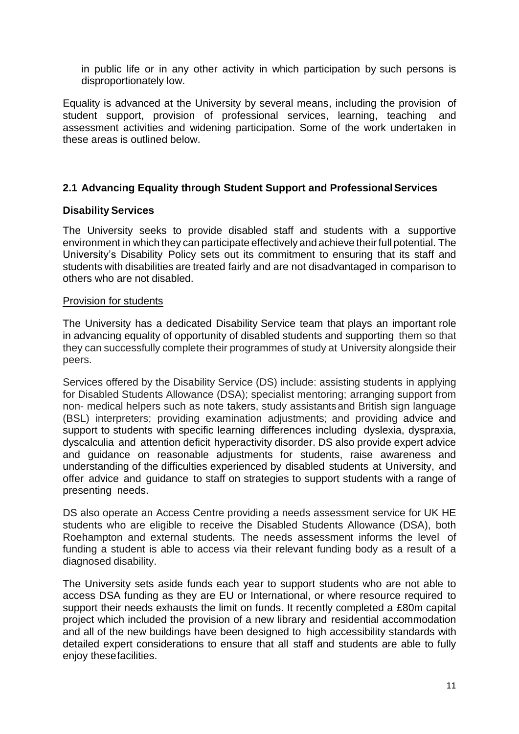in public life or in any other activity in which participation by such persons is disproportionately low.

Equality is advanced at the University by several means, including the provision of student support, provision of professional services, learning, teaching and assessment activities and widening participation. Some of the work undertaken in these areas is outlined below.

## **2.1 Advancing Equality through Student Support and ProfessionalServices**

#### **Disability Services**

The University seeks to provide disabled staff and students with a supportive environment in which they can participate effectively and achieve theirfull potential. The University's Disability Policy sets out its commitment to ensuring that its staff and students with disabilities are treated fairly and are not disadvantaged in comparison to others who are not disabled.

#### Provision for students

The University has a dedicated Disability Service team that plays an important role in advancing equality of opportunity of disabled students and supporting them so that they can successfully complete their programmes of study at University alongside their peers.

Services offered by the Disability Service (DS) include: assisting students in applying for Disabled Students Allowance (DSA); specialist mentoring; arranging support from non- medical helpers such as note takers, study assistantsand British sign language (BSL) interpreters; providing examination adjustments; and providing advice and support to students with specific learning differences including dyslexia, dyspraxia, dyscalculia and attention deficit hyperactivity disorder. DS also provide expert advice and guidance on reasonable adjustments for students, raise awareness and understanding of the difficulties experienced by disabled students at University, and offer advice and guidance to staff on strategies to support students with a range of presenting needs.

DS also operate an Access Centre providing a needs assessment service for UK HE students who are eligible to receive the Disabled Students Allowance (DSA), both Roehampton and external students. The needs assessment informs the level of funding a student is able to access via their relevant funding body as a result of a diagnosed disability.

The University sets aside funds each year to support students who are not able to access DSA funding as they are EU or International, or where resource required to support their needs exhausts the limit on funds. It recently completed a £80m capital project which included the provision of a new library and residential accommodation and all of the new buildings have been designed to high accessibility standards with detailed expert considerations to ensure that all staff and students are able to fully enjoy thesefacilities.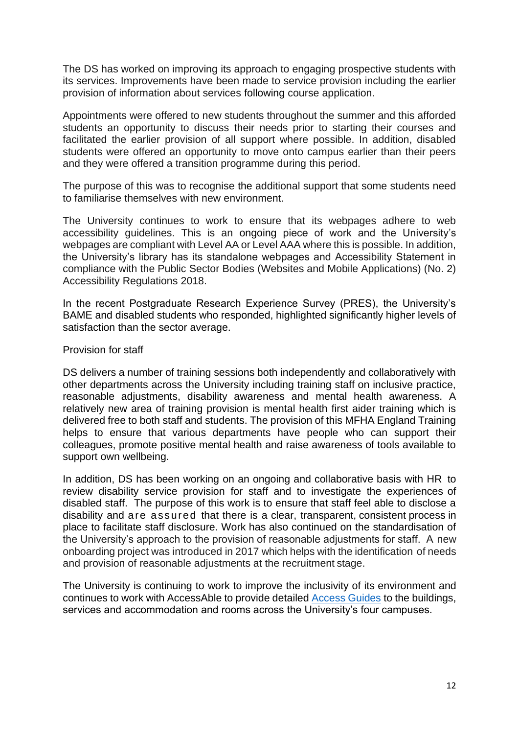The DS has worked on improving its approach to engaging prospective students with its services. Improvements have been made to service provision including the earlier provision of information about services following course application.

Appointments were offered to new students throughout the summer and this afforded students an opportunity to discuss their needs prior to starting their courses and facilitated the earlier provision of all support where possible. In addition, disabled students were offered an opportunity to move onto campus earlier than their peers and they were offered a transition programme during this period.

The purpose of this was to recognise the additional support that some students need to familiarise themselves with new environment.

The University continues to work to ensure that its webpages adhere to web accessibility guidelines. This is an ongoing piece of work and the University's webpages are compliant with Level AA or Level AAA where this is possible. In addition, the University's library has its standalone webpages and Accessibility Statement in compliance with the Public Sector Bodies (Websites and Mobile Applications) (No. 2) Accessibility Regulations 2018.

In the recent Postgraduate Research Experience Survey (PRES), the University's BAME and disabled students who responded, highlighted significantly higher levels of satisfaction than the sector average.

#### Provision for staff

DS delivers a number of training sessions both independently and collaboratively with other departments across the University including training staff on inclusive practice, reasonable adjustments, disability awareness and mental health awareness. A relatively new area of training provision is mental health first aider training which is delivered free to both staff and students. The provision of this MFHA England Training helps to ensure that various departments have people who can support their colleagues, promote positive mental health and raise awareness of tools available to support own wellbeing.

In addition, DS has been working on an ongoing and collaborative basis with HR to review disability service provision for staff and to investigate the experiences of disabled staff. The purpose of this work is to ensure that staff feel able to disclose a disability and are assured that there is a clear, transparent, consistent process in place to facilitate staff disclosure. Work has also continued on the standardisation of the University's approach to the provision of reasonable adjustments for staff. A new onboarding project was introduced in 2017 which helps with the identification of needs and provision of reasonable adjustments at the recruitment stage.

The University is continuing to work to improve the inclusivity of its environment and continues to work with AccessAble to provide detailed [Access Guides](https://www.accessable.co.uk/university-of-roehampton) to the buildings, services and accommodation and rooms across the University's four campuses.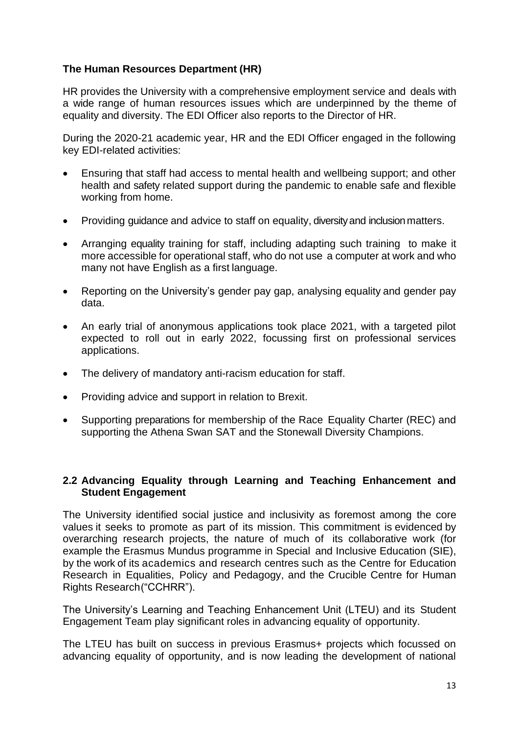## **The Human Resources Department (HR)**

HR provides the University with a comprehensive employment service and deals with a wide range of human resources issues which are underpinned by the theme of equality and diversity. The EDI Officer also reports to the Director of HR.

During the 2020-21 academic year, HR and the EDI Officer engaged in the following key EDI-related activities:

- Ensuring that staff had access to mental health and wellbeing support; and other health and safety related support during the pandemic to enable safe and flexible working from home.
- Providing guidance and advice to staff on equality, diversity and inclusion matters.
- Arranging equality training for staff, including adapting such training to make it more accessible for operational staff, who do not use a computer at work and who many not have English as a first language.
- Reporting on the University's gender pay gap, analysing equality and gender pay data.
- An early trial of anonymous applications took place 2021, with a targeted pilot expected to roll out in early 2022, focussing first on professional services applications.
- The delivery of mandatory anti-racism education for staff.
- Providing advice and support in relation to Brexit.
- Supporting preparations for membership of the Race Equality Charter (REC) and supporting the Athena Swan SAT and the Stonewall Diversity Champions.

#### **2.2 Advancing Equality through Learning and Teaching Enhancement and Student Engagement**

The University identified social justice and inclusivity as foremost among the core values it seeks to promote as part of its mission. This commitment is evidenced by overarching research projects, the nature of much of its collaborative work (for example the Erasmus Mundus programme in Special and Inclusive Education (SIE), by the work of its academics and research centres such as the Centre for Education Research in Equalities, Policy and Pedagogy, and the Crucible Centre for Human Rights Research("CCHRR").

The University's Learning and Teaching Enhancement Unit (LTEU) and its Student Engagement Team play significant roles in advancing equality of opportunity.

The LTEU has built on success in previous Erasmus+ projects which focussed on advancing equality of opportunity, and is now leading the development of national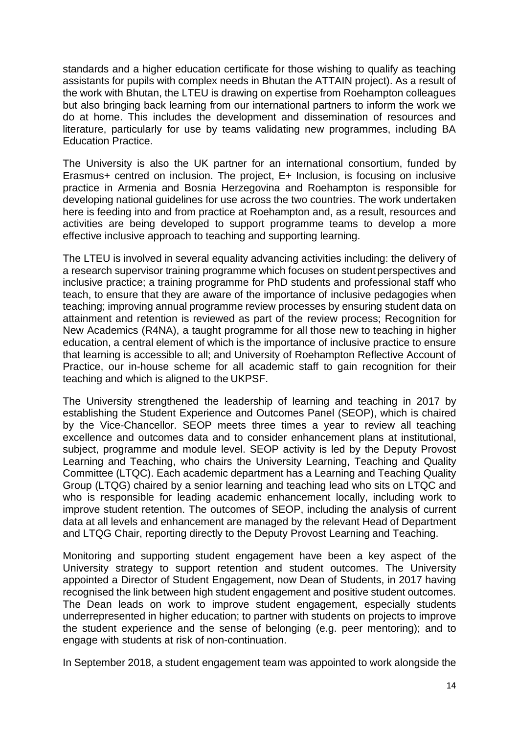standards and a higher education certificate for those wishing to qualify as teaching assistants for pupils with complex needs in Bhutan the ATTAIN project). As a result of the work with Bhutan, the LTEU is drawing on expertise from Roehampton colleagues but also bringing back learning from our international partners to inform the work we do at home. This includes the development and dissemination of resources and literature, particularly for use by teams validating new programmes, including BA Education Practice.

The University is also the UK partner for an international consortium, funded by Erasmus+ centred on inclusion. The project, E+ Inclusion, is focusing on inclusive practice in Armenia and Bosnia Herzegovina and Roehampton is responsible for developing national guidelines for use across the two countries. The work undertaken here is feeding into and from practice at Roehampton and, as a result, resources and activities are being developed to support programme teams to develop a more effective inclusive approach to teaching and supporting learning.

The LTEU is involved in several equality advancing activities including: the delivery of a research supervisor training programme which focuses on student perspectives and inclusive practice; a training programme for PhD students and professional staff who teach, to ensure that they are aware of the importance of inclusive pedagogies when teaching; improving annual programme review processes by ensuring student data on attainment and retention is reviewed as part of the review process; Recognition for New Academics (R4NA), a taught programme for all those new to teaching in higher education, a central element of which is the importance of inclusive practice to ensure that learning is accessible to all; and University of Roehampton Reflective Account of Practice, our in-house scheme for all academic staff to gain recognition for their teaching and which is aligned to the UKPSF.

The University strengthened the leadership of learning and teaching in 2017 by establishing the Student Experience and Outcomes Panel (SEOP), which is chaired by the Vice-Chancellor. SEOP meets three times a year to review all teaching excellence and outcomes data and to consider enhancement plans at institutional, subject, programme and module level. SEOP activity is led by the Deputy Provost Learning and Teaching, who chairs the University Learning, Teaching and Quality Committee (LTQC). Each academic department has a Learning and Teaching Quality Group (LTQG) chaired by a senior learning and teaching lead who sits on LTQC and who is responsible for leading academic enhancement locally, including work to improve student retention. The outcomes of SEOP, including the analysis of current data at all levels and enhancement are managed by the relevant Head of Department and LTQG Chair, reporting directly to the Deputy Provost Learning and Teaching.

Monitoring and supporting student engagement have been a key aspect of the University strategy to support retention and student outcomes. The University appointed a Director of Student Engagement, now Dean of Students, in 2017 having recognised the link between high student engagement and positive student outcomes. The Dean leads on work to improve student engagement, especially students underrepresented in higher education; to partner with students on projects to improve the student experience and the sense of belonging (e.g. peer mentoring); and to engage with students at risk of non-continuation.

In September 2018, a student engagement team was appointed to work alongside the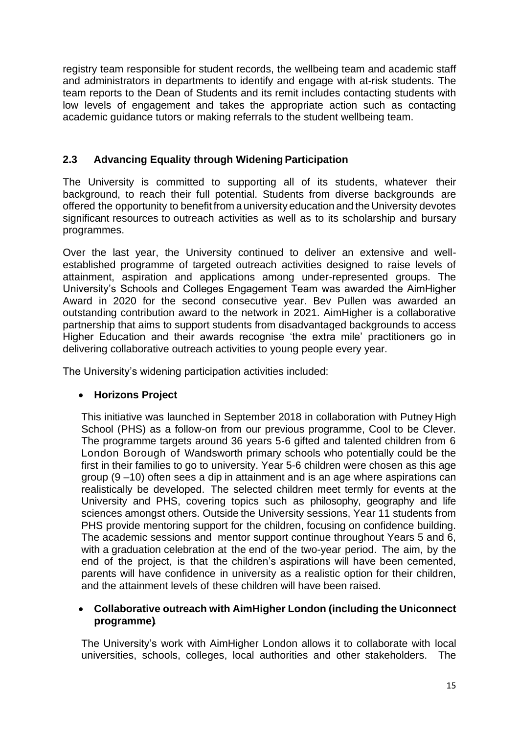registry team responsible for student records, the wellbeing team and academic staff and administrators in departments to identify and engage with at-risk students. The team reports to the Dean of Students and its remit includes contacting students with low levels of engagement and takes the appropriate action such as contacting academic guidance tutors or making referrals to the student wellbeing team.

## **2.3 Advancing Equality through Widening Participation**

The University is committed to supporting all of its students, whatever their background, to reach their full potential. Students from diverse backgrounds are offered the opportunity to benefit from a university education and the University devotes significant resources to outreach activities as well as to its scholarship and bursary programmes.

Over the last year, the University continued to deliver an extensive and wellestablished programme of targeted outreach activities designed to raise levels of attainment, aspiration and applications among under-represented groups. The University's Schools and Colleges Engagement Team was awarded the AimHigher Award in 2020 for the second consecutive year. Bev Pullen was awarded an outstanding contribution award to the network in 2021. AimHigher is a collaborative partnership that aims to support students from disadvantaged backgrounds to access Higher Education and their awards recognise 'the extra mile' practitioners go in delivering collaborative outreach activities to young people every year.

The University's widening participation activities included:

### • **Horizons Project**

This initiative was launched in September 2018 in collaboration with Putney High School (PHS) as a follow-on from our previous programme, Cool to be Clever. The programme targets around 36 years 5-6 gifted and talented children from 6 London Borough of Wandsworth primary schools who potentially could be the first in their families to go to university. Year 5-6 children were chosen as this age group (9 –10) often sees a dip in attainment and is an age where aspirations can realistically be developed. The selected children meet termly for events at the University and PHS, covering topics such as philosophy, geography and life sciences amongst others. Outside the University sessions, Year 11 students from PHS provide mentoring support for the children, focusing on confidence building. The academic sessions and mentor support continue throughout Years 5 and 6, with a graduation celebration at the end of the two-year period. The aim, by the end of the project, is that the children's aspirations will have been cemented, parents will have confidence in university as a realistic option for their children, and the attainment levels of these children will have been raised.

#### • **Collaborative outreach with AimHigher London (including the Uniconnect programme).**

The University's work with AimHigher London allows it to collaborate with local universities, schools, colleges, local authorities and other stakeholders. The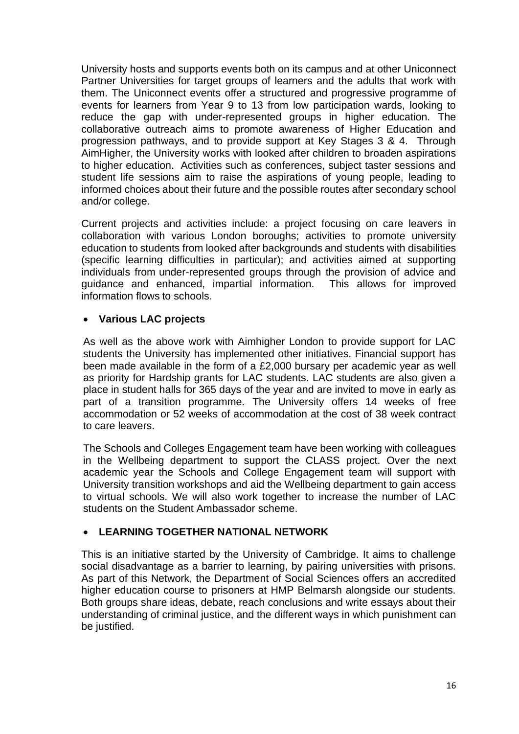University hosts and supports events both on its campus and at other Uniconnect Partner Universities for target groups of learners and the adults that work with them. The Uniconnect events offer a structured and progressive programme of events for learners from Year 9 to 13 from low participation wards, looking to reduce the gap with under-represented groups in higher education. The collaborative outreach aims to promote awareness of Higher Education and progression pathways, and to provide support at Key Stages 3 & 4. Through AimHigher, the University works with looked after children to broaden aspirations to higher education. Activities such as conferences, subject taster sessions and student life sessions aim to raise the aspirations of young people, leading to informed choices about their future and the possible routes after secondary school and/or college.

Current projects and activities include: a project focusing on care leavers in collaboration with various London boroughs; activities to promote university education to students from looked after backgrounds and students with disabilities (specific learning difficulties in particular); and activities aimed at supporting individuals from under-represented groups through the provision of advice and guidance and enhanced, impartial information. This allows for improved information flows to schools.

#### • **Various LAC projects**

As well as the above work with Aimhigher London to provide support for LAC students the University has implemented other initiatives. Financial support has been made available in the form of a £2,000 bursary per academic year as well as priority for Hardship grants for LAC students. LAC students are also given a place in student halls for 365 days of the year and are invited to move in early as part of a transition programme. The University offers 14 weeks of free accommodation or 52 weeks of accommodation at the cost of 38 week contract to care leavers.

The Schools and Colleges Engagement team have been working with colleagues in the Wellbeing department to support the CLASS project. Over the next academic year the Schools and College Engagement team will support with University transition workshops and aid the Wellbeing department to gain access to virtual schools. We will also work together to increase the number of LAC students on the Student Ambassador scheme.

### • **LEARNING TOGETHER NATIONAL NETWORK**

This is an initiative started by the University of Cambridge. It aims to challenge social disadvantage as a barrier to learning, by pairing universities with prisons. As part of this Network, the Department of Social Sciences offers an accredited higher education course to prisoners at HMP Belmarsh alongside our students. Both groups share ideas, debate, reach conclusions and write essays about their understanding of criminal justice, and the different ways in which punishment can be justified.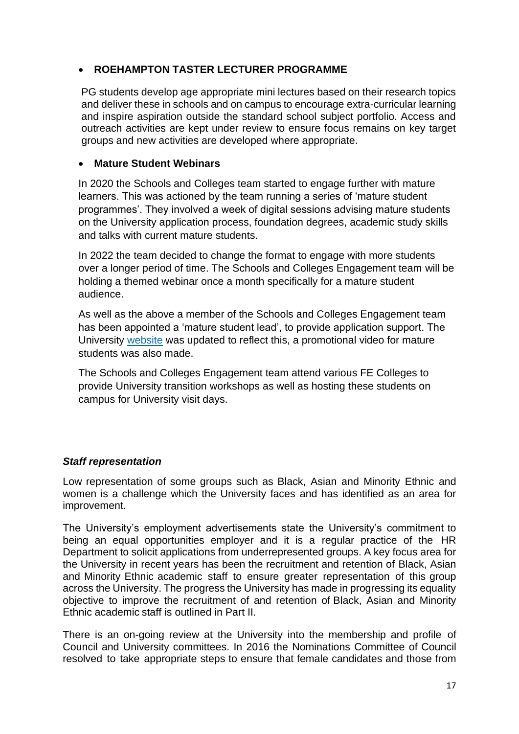## • **ROEHAMPTON TASTER LECTURER PROGRAMME**

PG students develop age appropriate mini lectures based on their research topics and deliver these in schools and on campus to encourage extra-curricular learning and inspire aspiration outside the standard school subject portfolio. Access and outreach activities are kept under review to ensure focus remains on key target groups and new activities are developed where appropriate.

#### • **Mature Student Webinars**

In 2020 the Schools and Colleges team started to engage further with mature learners. This was actioned by the team running a series of 'mature student programmes'. They involved a week of digital sessions advising mature students on the University application process, foundation degrees, academic study skills and talks with current mature students.

In 2022 the team decided to change the format to engage with more students over a longer period of time. The Schools and Colleges Engagement team will be holding a themed webinar once a month specifically for a mature student audience.

As well as the above a member of the Schools and Colleges Engagement team has been appointed a 'mature student lead', to provide application support. The University [website](https://www.roehampton.ac.uk/student-support/mature-students/) was updated to reflect this, a promotional video for mature students was also made.

The Schools and Colleges Engagement team attend various FE Colleges to provide University transition workshops as well as hosting these students on campus for University visit days.

### *Staff representation*

Low representation of some groups such as Black, Asian and Minority Ethnic and women is a challenge which the University faces and has identified as an area for improvement.

The University's employment advertisements state the University's commitment to being an equal opportunities employer and it is a regular practice of the HR Department to solicit applications from underrepresented groups. A key focus area for the University in recent years has been the recruitment and retention of Black, Asian and Minority Ethnic academic staff to ensure greater representation of this group across the University. The progress the University has made in progressing its equality objective to improve the recruitment of and retention of Black, Asian and Minority Ethnic academic staff is outlined in Part II*.*

There is an on-going review at the University into the membership and profile of Council and University committees. In 2016 the Nominations Committee of Council resolved to take appropriate steps to ensure that female candidates and those from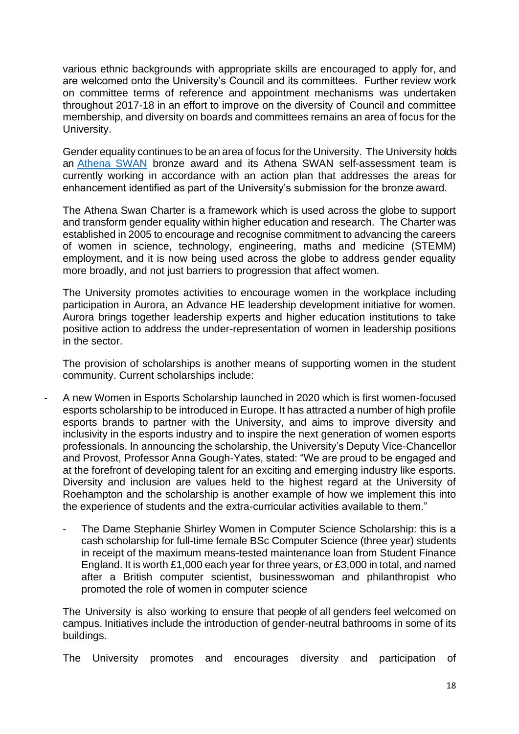various ethnic backgrounds with appropriate skills are encouraged to apply for, and are welcomed onto the University's Council and its committees. Further review work on committee terms of reference and appointment mechanisms was undertaken throughout 2017-18 in an effort to improve on the diversity of Council and committee membership, and diversity on boards and committees remains an area of focus for the University.

Gender equality continues to be an area of focus for the University. The University holds an [Athena](https://www.advance-he.ac.uk/equality-charters/athena-swan-charter#enquire) SWAN bronze award and its Athena SWAN self-assessment team is currently working in accordance with an action plan that addresses the areas for enhancement identified as part of the University's submission for the bronze award.

The Athena Swan Charter is a framework which is used across the globe to support and transform gender equality within higher education and research. The Charter was established in 2005 to encourage and recognise commitment to advancing the careers of women in science, technology, engineering, maths and medicine (STEMM) employment, and it is now being used across the globe to address gender equality more broadly, and not just barriers to progression that affect women.

The University promotes activities to encourage women in the workplace including participation in Aurora, an Advance HE leadership development initiative for women. Aurora brings together leadership experts and higher education institutions to take positive action to address the under-representation of women in leadership positions in the sector.

The provision of scholarships is another means of supporting women in the student community. Current scholarships include:

- A new Women in Esports Scholarship launched in 2020 which is first women-focused esports scholarship to be introduced in Europe. It has attracted a number of high profile esports brands to partner with the University, and aims to improve diversity and inclusivity in the esports industry and to inspire the next generation of women esports professionals. In announcing the scholarship, the University's Deputy Vice-Chancellor and Provost, Professor Anna Gough-Yates, stated: "We are proud to be engaged and at the forefront of developing talent for an exciting and emerging industry like esports. Diversity and inclusion are values held to the highest regard at the University of Roehampton and the scholarship is another example of how we implement this into the experience of students and the extra-curricular activities available to them."
	- The Dame Stephanie Shirley Women in Computer Science Scholarship: this is a cash scholarship for full-time female BSc Computer Science (three year) students in receipt of the maximum means-tested maintenance loan from Student Finance England. It is worth £1,000 each year for three years, or £3,000 in total, and named after a British computer scientist, businesswoman and philanthropist who promoted the role of women in computer science

The University is also working to ensure that people of all genders feel welcomed on campus. Initiatives include the introduction of gender-neutral bathrooms in some of its buildings.

The University promotes and encourages diversity and participation of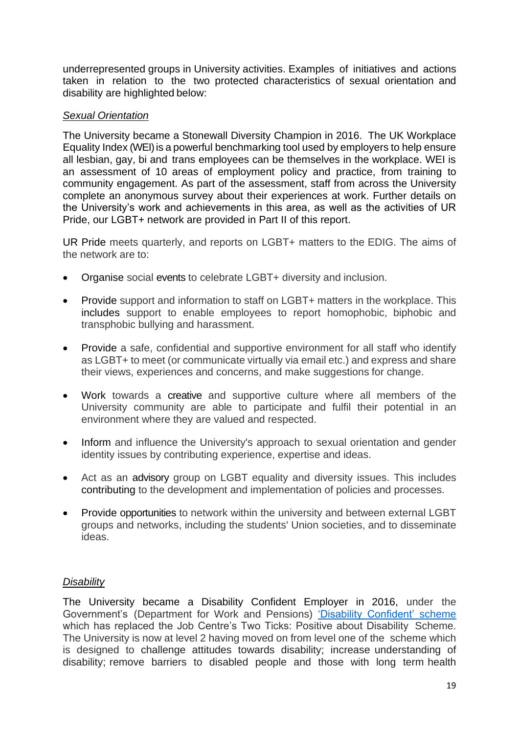underrepresented groups in University activities. Examples of initiatives and actions taken in relation to the two protected characteristics of sexual orientation and disability are highlighted below:

#### *Sexual Orientation*

The University became a Stonewall Diversity Champion in 2016. The UK Workplace Equality Index (WEI) is a powerful benchmarking tool used by employers to help ensure all lesbian, gay, bi and trans employees can be themselves in the workplace. WEI is an assessment of 10 areas of employment policy and practice, from training to community engagement. As part of the assessment, staff from across the University complete an anonymous survey about their experiences at work. Further details on the University's work and achievements in this area, as well as the activities of UR Pride, our LGBT+ network are provided in Part II of this report.

UR Pride meets quarterly, and reports on LGBT+ matters to the EDIG. The aims of the network are to:

- Organise social events to celebrate LGBT+ diversity and inclusion.
- Provide support and information to staff on LGBT+ matters in the workplace. This includes support to enable employees to report homophobic, biphobic and transphobic bullying and harassment.
- Provide a safe, confidential and supportive environment for all staff who identify as LGBT+ to meet (or communicate virtually via email etc.) and express and share their views, experiences and concerns, and make suggestions for change.
- Work towards a creative and supportive culture where all members of the University community are able to participate and fulfil their potential in an environment where they are valued and respected.
- Inform and influence the University's approach to sexual orientation and gender identity issues by contributing experience, expertise and ideas.
- Act as an advisory group on LGBT equality and diversity issues. This includes contributing to the development and implementation of policies and processes.
- Provide opportunities to network within the university and between external LGBT groups and networks, including the students' Union societies, and to disseminate ideas.

#### *Disability*

The University became a Disability Confident Employer in 2016, under the Government's (Department for Work and Pensions) 'Disability Confident' scheme which has replaced the Job Centre's Two Ticks: Positive about Disability Scheme. The University is now at level 2 having moved on from level one of the scheme which is designed to challenge attitudes towards disability; increase understanding of disability; remove barriers to disabled people and those with long term health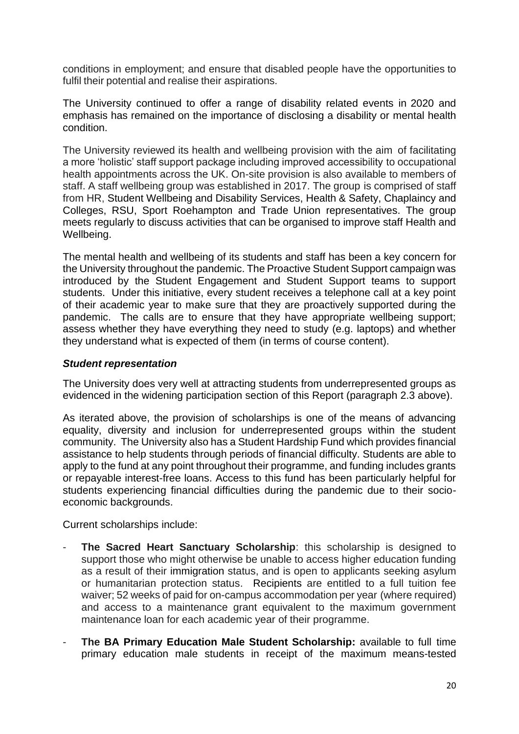conditions in employment; and ensure that disabled people have the opportunities to fulfil their potential and realise their aspirations.

The University continued to offer a range of disability related events in 2020 and emphasis has remained on the importance of disclosing a disability or mental health condition.

The University reviewed its health and wellbeing provision with the aim of facilitating a more 'holistic' staff support package including improved accessibility to occupational health appointments across the UK. On-site provision is also available to members of staff. A staff wellbeing group was established in 2017. The group is comprised of staff from HR, Student Wellbeing and Disability Services, Health & Safety, Chaplaincy and Colleges, RSU, Sport Roehampton and Trade Union representatives. The group meets regularly to discuss activities that can be organised to improve staff Health and Wellbeing.

The mental health and wellbeing of its students and staff has been a key concern for the University throughout the pandemic. The Proactive Student Support campaign was introduced by the Student Engagement and Student Support teams to support students. Under this initiative, every student receives a telephone call at a key point of their academic year to make sure that they are proactively supported during the pandemic. The calls are to ensure that they have appropriate wellbeing support; assess whether they have everything they need to study (e.g. laptops) and whether they understand what is expected of them (in terms of course content).

#### *Student representation*

The University does very well at attracting students from underrepresented groups as evidenced in the widening participation section of this Report (paragraph 2.3 above).

As iterated above, the provision of scholarships is one of the means of advancing equality, diversity and inclusion for underrepresented groups within the student community. The University also has a Student Hardship Fund which provides financial assistance to help students through periods of financial difficulty. Students are able to apply to the fund at any point throughout their programme, and funding includes grants or repayable interest-free loans. Access to this fund has been particularly helpful for students experiencing financial difficulties during the pandemic due to their socioeconomic backgrounds.

Current scholarships include:

- The Sacred Heart Sanctuary Scholarship: this scholarship is designed to support those who might otherwise be unable to access higher education funding as a result of their immigration status, and is open to applicants seeking asylum or humanitarian protection status. Recipients are entitled to a full tuition fee waiver; 52 weeks of paid for on-campus accommodation per year (where required) and access to a maintenance grant equivalent to the maximum government maintenance loan for each academic year of their programme.
- **The BA Primary Education Male Student Scholarship:** available to full time primary education male students in receipt of the maximum means-tested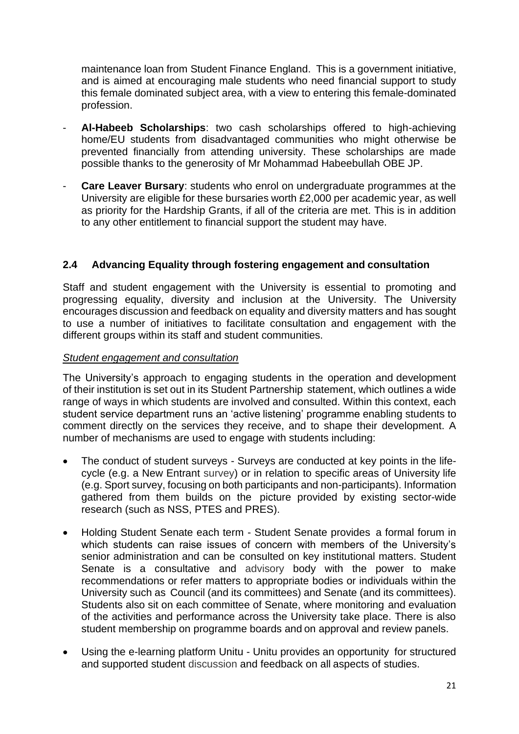maintenance loan from Student Finance England. This is a government initiative, and is aimed at encouraging male students who need financial support to study this female dominated subject area, with a view to entering this female-dominated profession.

- **Al-Habeeb Scholarships**: two cash scholarships offered to high-achieving home/EU students from disadvantaged communities who might otherwise be prevented financially from attending university. These scholarships are made possible thanks to the generosity of Mr Mohammad Habeebullah OBE JP.
- **Care Leaver Bursary:** students who enrol on undergraduate programmes at the University are eligible for these bursaries worth £2,000 per academic year, as well as priority for the Hardship Grants, if all of the criteria are met. This is in addition to any other entitlement to financial support the student may have.

## **2.4 Advancing Equality through fostering engagement and consultation**

Staff and student engagement with the University is essential to promoting and progressing equality, diversity and inclusion at the University. The University encourages discussion and feedback on equality and diversity matters and has sought to use a number of initiatives to facilitate consultation and engagement with the different groups within its staff and student communities.

#### *Student engagement and consultation*

The University's approach to engaging students in the operation and development of their institution is set out in its Student Partnership statement, which outlines a wide range of ways in which students are involved and consulted. Within this context, each student service department runs an 'active listening' programme enabling students to comment directly on the services they receive, and to shape their development. A number of mechanisms are used to engage with students including:

- The conduct of student surveys Surveys are conducted at key points in the lifecycle (e.g. a New Entrant survey) or in relation to specific areas of University life (e.g. Sport survey, focusing on both participants and non-participants). Information gathered from them builds on the picture provided by existing sector-wide research (such as NSS, PTES and PRES).
- Holding Student Senate each term Student Senate provides a formal forum in which students can raise issues of concern with members of the University's senior administration and can be consulted on key institutional matters. Student Senate is a consultative and advisory body with the power to make recommendations or refer matters to appropriate bodies or individuals within the University such as Council (and its committees) and Senate (and its committees). Students also sit on each committee of Senate, where monitoring and evaluation of the activities and performance across the University take place. There is also student membership on programme boards and on approval and review panels.
- Using the e-learning platform Unitu Unitu provides an opportunity for structured and supported student discussion and feedback on all aspects of studies.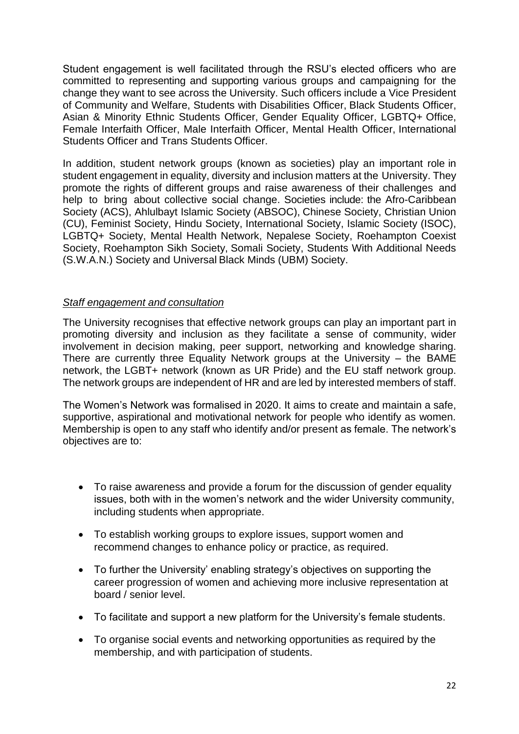Student engagement is well facilitated through the RSU's elected officers who are committed to representing and supporting various groups and campaigning for the change they want to see across the University. Such officers include a Vice President of Community and Welfare, Students with Disabilities Officer, Black Students Officer, Asian & Minority Ethnic Students Officer, Gender Equality Officer, LGBTQ+ Office, Female Interfaith Officer, Male Interfaith Officer, Mental Health Officer, International Students Officer and Trans Students Officer.

In addition, student network groups (known as societies) play an important role in student engagement in equality, diversity and inclusion matters at the University. They promote the rights of different groups and raise awareness of their challenges and help to bring about collective social change. Societies include: the Afro-Caribbean Society (ACS), Ahlulbayt Islamic Society (ABSOC), Chinese Society, Christian Union (CU), Feminist Society, Hindu Society, International Society, Islamic Society (ISOC), LGBTQ+ Society, Mental Health Network, Nepalese Society, Roehampton Coexist Society, Roehampton Sikh Society, Somali Society, Students With Additional Needs (S.W.A.N.) Society and Universal Black Minds (UBM) Society.

#### *Staff engagement and consultation*

The University recognises that effective network groups can play an important part in promoting diversity and inclusion as they facilitate a sense of community, wider involvement in decision making, peer support, networking and knowledge sharing. There are currently three Equality Network groups at the University – the BAME network, the LGBT+ network (known as UR Pride) and the EU staff network group. The network groups are independent of HR and are led by interested members of staff.

The Women's Network was formalised in 2020. It aims to create and maintain a safe, supportive, aspirational and motivational network for people who identify as women. Membership is open to any staff who identify and/or present as female. The network's objectives are to:

- To raise awareness and provide a forum for the discussion of gender equality issues, both with in the women's network and the wider University community, including students when appropriate.
- To establish working groups to explore issues, support women and recommend changes to enhance policy or practice, as required.
- To further the University' enabling strategy's objectives on supporting the career progression of women and achieving more inclusive representation at board / senior level.
- To facilitate and support a new platform for the University's female students.
- To organise social events and networking opportunities as required by the membership, and with participation of students.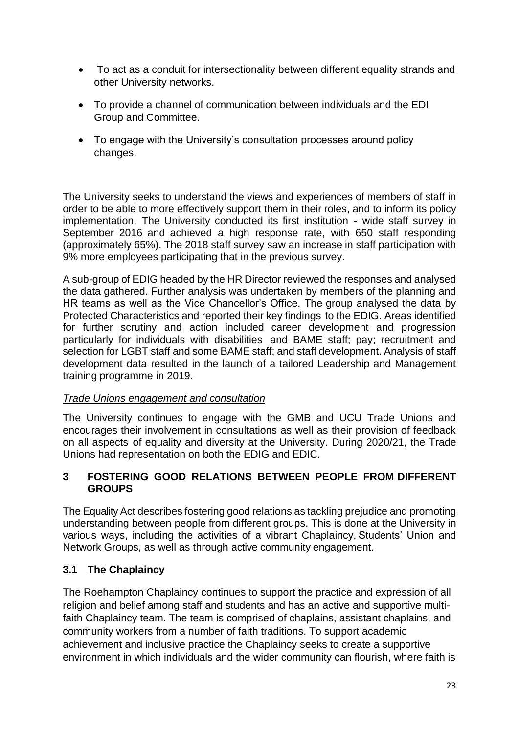- To act as a conduit for intersectionality between different equality strands and other University networks.
- To provide a channel of communication between individuals and the EDI Group and Committee.
- To engage with the University's consultation processes around policy changes.

The University seeks to understand the views and experiences of members of staff in order to be able to more effectively support them in their roles, and to inform its policy implementation. The University conducted its first institution - wide staff survey in September 2016 and achieved a high response rate, with 650 staff responding (approximately 65%). The 2018 staff survey saw an increase in staff participation with 9% more employees participating that in the previous survey.

A sub-group of EDIG headed by the HR Director reviewed the responses and analysed the data gathered. Further analysis was undertaken by members of the planning and HR teams as well as the Vice Chancellor's Office. The group analysed the data by Protected Characteristics and reported their key findings to the EDIG. Areas identified for further scrutiny and action included career development and progression particularly for individuals with disabilities and BAME staff; pay; recruitment and selection for LGBT staff and some BAME staff; and staff development. Analysis of staff development data resulted in the launch of a tailored Leadership and Management training programme in 2019.

### *Trade Unions engagement and consultation*

The University continues to engage with the GMB and UCU Trade Unions and encourages their involvement in consultations as well as their provision of feedback on all aspects of equality and diversity at the University. During 2020/21, the Trade Unions had representation on both the EDIG and EDIC.

#### **3 FOSTERING GOOD RELATIONS BETWEEN PEOPLE FROM DIFFERENT GROUPS**

The Equality Act describes fostering good relations as tackling prejudice and promoting understanding between people from different groups. This is done at the University in various ways, including the activities of a vibrant Chaplaincy, Students' Union and Network Groups, as well as through active community engagement.

### **3.1 The Chaplaincy**

The Roehampton Chaplaincy continues to support the practice and expression of all religion and belief among staff and students and has an active and supportive multifaith Chaplaincy team. The team is comprised of chaplains, assistant chaplains, and community workers from a number of faith traditions. To support academic achievement and inclusive practice the Chaplaincy seeks to create a supportive environment in which individuals and the wider community can flourish, where faith is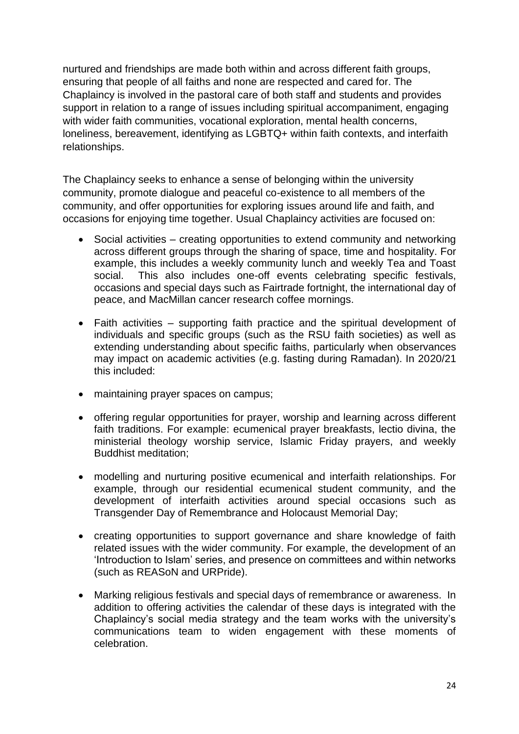nurtured and friendships are made both within and across different faith groups, ensuring that people of all faiths and none are respected and cared for. The Chaplaincy is involved in the pastoral care of both staff and students and provides support in relation to a range of issues including spiritual accompaniment, engaging with wider faith communities, vocational exploration, mental health concerns, loneliness, bereavement, identifying as LGBTQ+ within faith contexts, and interfaith relationships.

The Chaplaincy seeks to enhance a sense of belonging within the university community, promote dialogue and peaceful co-existence to all members of the community, and offer opportunities for exploring issues around life and faith, and occasions for enjoying time together. Usual Chaplaincy activities are focused on:

- Social activities creating opportunities to extend community and networking across different groups through the sharing of space, time and hospitality. For example, this includes a weekly community lunch and weekly Tea and Toast social. This also includes one-off events celebrating specific festivals, occasions and special days such as Fairtrade fortnight, the international day of peace, and MacMillan cancer research coffee mornings.
- Faith activities supporting faith practice and the spiritual development of individuals and specific groups (such as the RSU faith societies) as well as extending understanding about specific faiths, particularly when observances may impact on academic activities (e.g. fasting during Ramadan). In 2020/21 this included:
- maintaining prayer spaces on campus;
- offering regular opportunities for prayer, worship and learning across different faith traditions. For example: ecumenical prayer breakfasts, lectio divina, the ministerial theology worship service, Islamic Friday prayers, and weekly Buddhist meditation;
- modelling and nurturing positive ecumenical and interfaith relationships. For example, through our residential ecumenical student community, and the development of interfaith activities around special occasions such as Transgender Day of Remembrance and Holocaust Memorial Day;
- creating opportunities to support governance and share knowledge of faith related issues with the wider community. For example, the development of an 'Introduction to Islam' series, and presence on committees and within networks (such as REASoN and URPride).
- Marking religious festivals and special days of remembrance or awareness. In addition to offering activities the calendar of these days is integrated with the Chaplaincy's social media strategy and the team works with the university's communications team to widen engagement with these moments of celebration.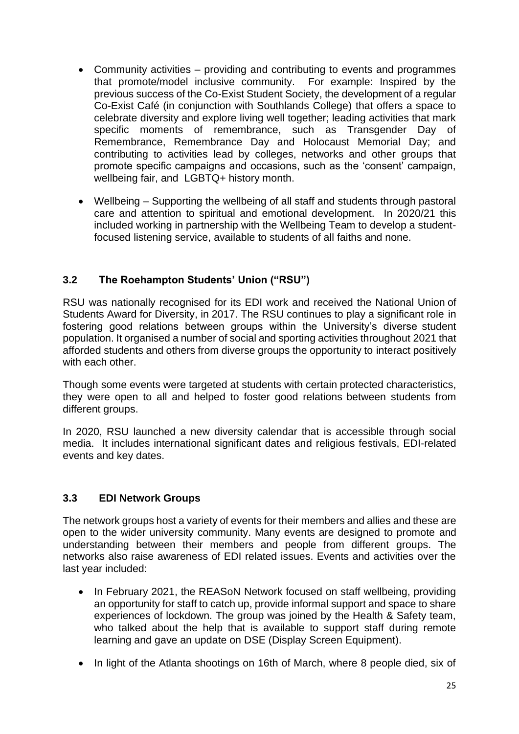- Community activities providing and contributing to events and programmes that promote/model inclusive community. For example: Inspired by the previous success of the Co-Exist Student Society, the development of a regular Co-Exist Café (in conjunction with Southlands College) that offers a space to celebrate diversity and explore living well together; leading activities that mark specific moments of remembrance, such as Transgender Day of Remembrance, Remembrance Day and Holocaust Memorial Day; and contributing to activities lead by colleges, networks and other groups that promote specific campaigns and occasions, such as the 'consent' campaign, wellbeing fair, and LGBTQ+ history month.
- Wellbeing Supporting the wellbeing of all staff and students through pastoral care and attention to spiritual and emotional development. In 2020/21 this included working in partnership with the Wellbeing Team to develop a studentfocused listening service, available to students of all faiths and none.

## **3.2 The Roehampton Students' Union ("RSU")**

RSU was nationally recognised for its EDI work and received the National Union of Students Award for Diversity, in 2017. The RSU continues to play a significant role in fostering good relations between groups within the University's diverse student population. It organised a number of social and sporting activities throughout 2021 that afforded students and others from diverse groups the opportunity to interact positively with each other.

Though some events were targeted at students with certain protected characteristics, they were open to all and helped to foster good relations between students from different groups.

In 2020, RSU launched a new diversity calendar that is accessible through social media. It includes international significant dates and religious festivals, EDI-related events and key dates.

### **3.3 EDI Network Groups**

The network groups host a variety of events for their members and allies and these are open to the wider university community. Many events are designed to promote and understanding between their members and people from different groups. The networks also raise awareness of EDI related issues. Events and activities over the last year included:

- In February 2021, the REASoN Network focused on staff wellbeing, providing an opportunity for staff to catch up, provide informal support and space to share experiences of lockdown. The group was joined by the Health & Safety team, who talked about the help that is available to support staff during remote learning and gave an update on DSE (Display Screen Equipment).
- In light of the Atlanta shootings on 16th of March, where 8 people died, six of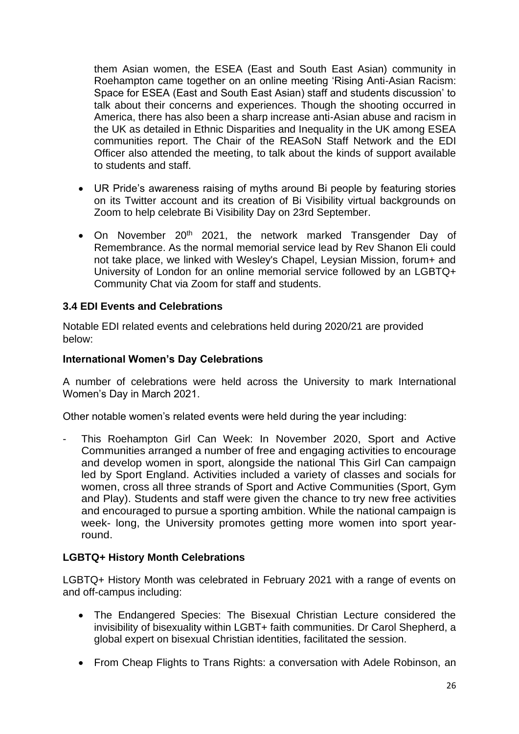them Asian women, the ESEA (East and South East Asian) community in Roehampton came together on an online meeting 'Rising Anti-Asian Racism: Space for ESEA (East and South East Asian) staff and students discussion' to talk about their concerns and experiences. Though the shooting occurred in America, there has also been a sharp increase anti-Asian abuse and racism in the UK as detailed in Ethnic Disparities and Inequality in the UK among ESEA communities report. The Chair of the REASoN Staff Network and the EDI Officer also attended the meeting, to talk about the kinds of support available to students and staff.

- UR Pride's awareness raising of myths around Bi people by featuring stories on its Twitter account and its creation of Bi Visibility virtual backgrounds on Zoom to help celebrate Bi Visibility Day on 23rd September.
- On November 20<sup>th</sup> 2021, the network marked Transgender Day of Remembrance. As the normal memorial service lead by Rev Shanon Eli could not take place, we linked with Wesley's Chapel, Leysian Mission, forum+ and University of London for an online memorial service followed by an LGBTQ+ Community Chat via Zoom for staff and students.

#### **3.4 EDI Events and Celebrations**

Notable EDI related events and celebrations held during 2020/21 are provided below:

#### **International Women's Day Celebrations**

A number of celebrations were held across the University to mark International Women's Day in March 2021.

Other notable women's related events were held during the year including:

This Roehampton Girl Can Week: In November 2020, Sport and Active Communities arranged a number of free and engaging activities to encourage and develop women in sport, alongside the national This Girl Can campaign led by Sport England. Activities included a variety of classes and socials for women, cross all three strands of Sport and Active Communities (Sport, Gym and Play). Students and staff were given the chance to try new free activities and encouraged to pursue a sporting ambition. While the national campaign is week- long, the University promotes getting more women into sport yearround.

### **LGBTQ+ History Month Celebrations**

LGBTQ+ History Month was celebrated in February 2021 with a range of events on and off-campus including:

- The Endangered Species: The Bisexual Christian Lecture considered the invisibility of bisexuality within LGBT+ faith communities. Dr Carol Shepherd, a global expert on bisexual Christian identities, facilitated the session.
- From Cheap Flights to Trans Rights: a conversation with Adele Robinson, an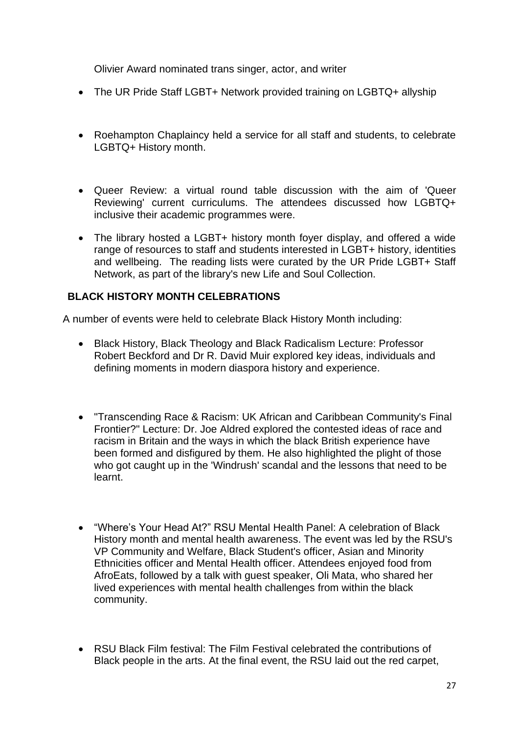Olivier Award nominated trans singer, actor, and writer

- The UR Pride Staff LGBT+ Network provided training on LGBTQ+ allyship
- Roehampton Chaplaincy held a service for all staff and students, to celebrate LGBTQ+ History month.
- Queer Review: a virtual round table discussion with the aim of 'Queer Reviewing' current curriculums. The attendees discussed how LGBTQ+ inclusive their academic programmes were.
- The library hosted a LGBT+ history month foyer display, and offered a wide range of resources to staff and students interested in LGBT+ history, identities and wellbeing. The reading lists were curated by the UR Pride LGBT+ Staff Network, as part of the library's new Life and Soul Collection.

## **BLACK HISTORY MONTH CELEBRATIONS**

A number of events were held to celebrate Black History Month including:

- Black History, Black Theology and Black Radicalism Lecture: Professor Robert Beckford and Dr R. David Muir explored key ideas, individuals and defining moments in modern diaspora history and experience.
- "Transcending Race & Racism: UK African and Caribbean Community's Final Frontier?" Lecture: Dr. Joe Aldred explored the contested ideas of race and racism in Britain and the ways in which the black British experience have been formed and disfigured by them. He also highlighted the plight of those who got caught up in the 'Windrush' scandal and the lessons that need to be learnt.
- "Where's Your Head At?" RSU Mental Health Panel: A celebration of Black History month and mental health awareness. The event was led by the RSU's VP Community and Welfare, Black Student's officer, Asian and Minority Ethnicities officer and Mental Health officer. Attendees enjoyed food from AfroEats, followed by a talk with guest speaker, Oli Mata, who shared her lived experiences with mental health challenges from within the black community.
- RSU Black Film festival: The Film Festival celebrated the contributions of Black people in the arts. At the final event, the RSU laid out the red carpet,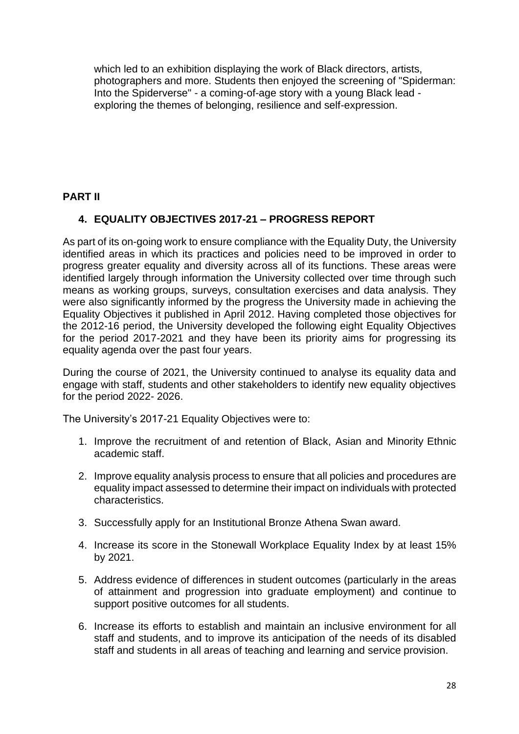which led to an exhibition displaying the work of Black directors, artists, photographers and more. Students then enjoyed the screening of "Spiderman: Into the Spiderverse" - a coming-of-age story with a young Black lead exploring the themes of belonging, resilience and self-expression.

#### **PART II**

### **4. EQUALITY OBJECTIVES 2017-21 – PROGRESS REPORT**

As part of its on-going work to ensure compliance with the Equality Duty, the University identified areas in which its practices and policies need to be improved in order to progress greater equality and diversity across all of its functions. These areas were identified largely through information the University collected over time through such means as working groups, surveys, consultation exercises and data analysis. They were also significantly informed by the progress the University made in achieving the Equality Objectives it published in April 2012. Having completed those objectives for the 2012-16 period, the University developed the following eight Equality Objectives for the period 2017-2021 and they have been its priority aims for progressing its equality agenda over the past four years.

During the course of 2021, the University continued to analyse its equality data and engage with staff, students and other stakeholders to identify new equality objectives for the period 2022- 2026.

The University's 2017-21 Equality Objectives were to:

- 1. Improve the recruitment of and retention of Black, Asian and Minority Ethnic academic staff.
- 2. Improve equality analysis process to ensure that all policies and procedures are equality impact assessed to determine their impact on individuals with protected characteristics.
- 3. Successfully apply for an Institutional Bronze Athena Swan award.
- 4. Increase its score in the Stonewall Workplace Equality Index by at least 15% by 2021.
- 5. Address evidence of differences in student outcomes (particularly in the areas of attainment and progression into graduate employment) and continue to support positive outcomes for all students.
- 6. Increase its efforts to establish and maintain an inclusive environment for all staff and students, and to improve its anticipation of the needs of its disabled staff and students in all areas of teaching and learning and service provision.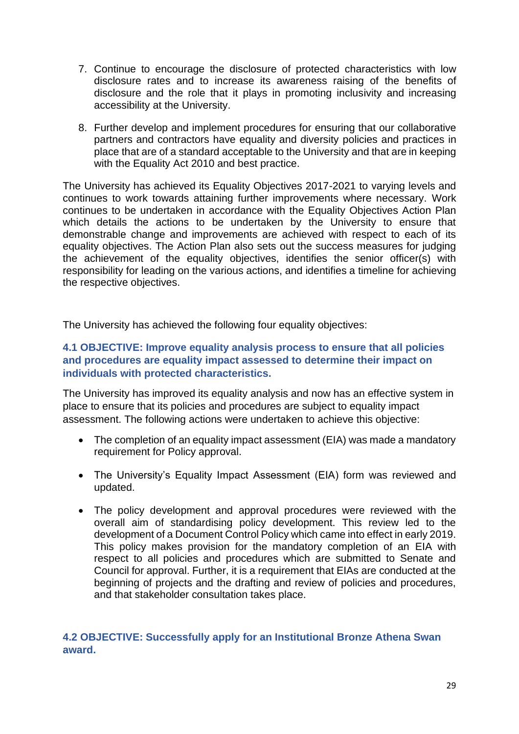- 7. Continue to encourage the disclosure of protected characteristics with low disclosure rates and to increase its awareness raising of the benefits of disclosure and the role that it plays in promoting inclusivity and increasing accessibility at the University.
- 8. Further develop and implement procedures for ensuring that our collaborative partners and contractors have equality and diversity policies and practices in place that are of a standard acceptable to the University and that are in keeping with the Equality Act 2010 and best practice.

The University has achieved its Equality Objectives 2017-2021 to varying levels and continues to work towards attaining further improvements where necessary. Work continues to be undertaken in accordance with the Equality Objectives Action Plan which details the actions to be undertaken by the University to ensure that demonstrable change and improvements are achieved with respect to each of its equality objectives. The Action Plan also sets out the success measures for judging the achievement of the equality objectives, identifies the senior officer(s) with responsibility for leading on the various actions, and identifies a timeline for achieving the respective objectives.

The University has achieved the following four equality objectives:

#### **4.1 OBJECTIVE: Improve equality analysis process to ensure that all policies and procedures are equality impact assessed to determine their impact on individuals with protected characteristics.**

The University has improved its equality analysis and now has an effective system in place to ensure that its policies and procedures are subject to equality impact assessment. The following actions were undertaken to achieve this objective:

- The completion of an equality impact assessment (EIA) was made a mandatory requirement for Policy approval.
- The University's Equality Impact Assessment (EIA) form was reviewed and updated.
- The policy development and approval procedures were reviewed with the overall aim of standardising policy development. This review led to the development of a Document Control Policy which came into effect in early 2019. This policy makes provision for the mandatory completion of an EIA with respect to all policies and procedures which are submitted to Senate and Council for approval. Further, it is a requirement that EIAs are conducted at the beginning of projects and the drafting and review of policies and procedures, and that stakeholder consultation takes place.

### **4.2 OBJECTIVE: Successfully apply for an Institutional Bronze Athena Swan award.**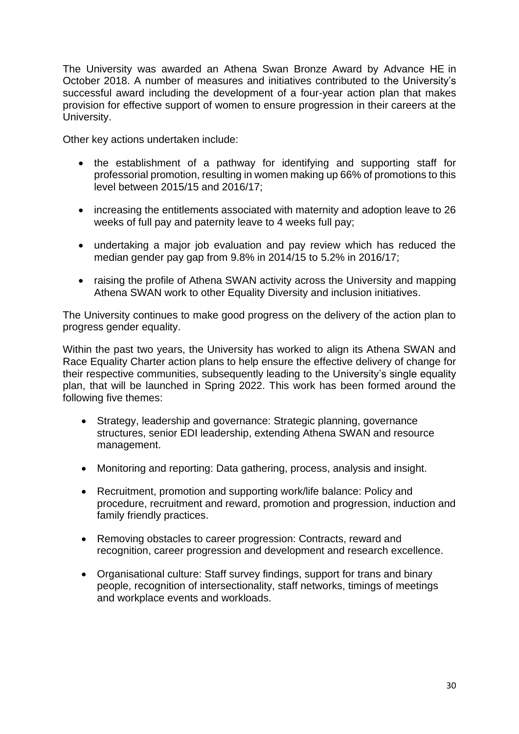The University was awarded an Athena Swan Bronze Award by Advance HE in October 2018. A number of measures and initiatives contributed to the University's successful award including the development of a four-year action plan that makes provision for effective support of women to ensure progression in their careers at the University.

Other key actions undertaken include:

- the establishment of a pathway for identifying and supporting staff for professorial promotion, resulting in women making up 66% of promotions to this level between 2015/15 and 2016/17;
- increasing the entitlements associated with maternity and adoption leave to 26 weeks of full pay and paternity leave to 4 weeks full pay;
- undertaking a major job evaluation and pay review which has reduced the median gender pay gap from 9.8% in 2014/15 to 5.2% in 2016/17;
- raising the profile of Athena SWAN activity across the University and mapping Athena SWAN work to other Equality Diversity and inclusion initiatives.

The University continues to make good progress on the delivery of the action plan to progress gender equality.

Within the past two years, the University has worked to align its Athena SWAN and Race Equality Charter action plans to help ensure the effective delivery of change for their respective communities, subsequently leading to the University's single equality plan, that will be launched in Spring 2022. This work has been formed around the following five themes:

- Strategy, leadership and governance: Strategic planning, governance structures, senior EDI leadership, extending Athena SWAN and resource management.
- Monitoring and reporting: Data gathering, process, analysis and insight.
- Recruitment, promotion and supporting work/life balance: Policy and procedure, recruitment and reward, promotion and progression, induction and family friendly practices.
- Removing obstacles to career progression: Contracts, reward and recognition, career progression and development and research excellence.
- Organisational culture: Staff survey findings, support for trans and binary people, recognition of intersectionality, staff networks, timings of meetings and workplace events and workloads.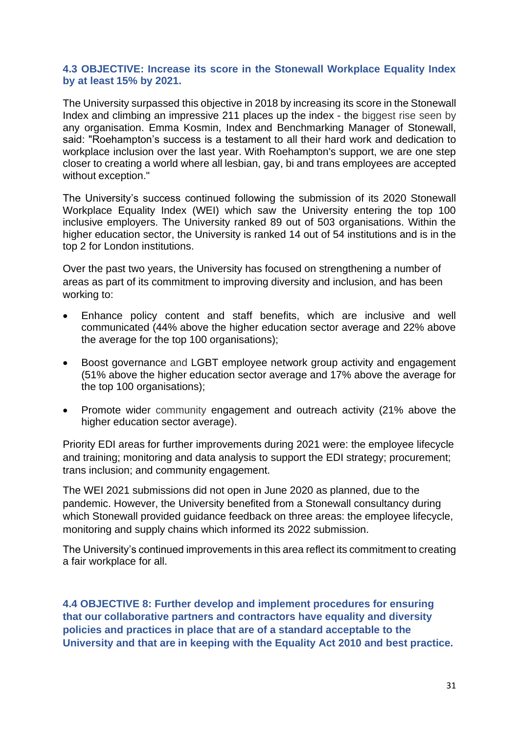#### **4.3 OBJECTIVE: Increase its score in the Stonewall Workplace Equality Index by at least 15% by 2021.**

The University surpassed this objective in 2018 by increasing its score in the Stonewall Index and climbing an impressive 211 places up the index - the biggest rise seen by any organisation. Emma Kosmin, Index and Benchmarking Manager of Stonewall, said: "Roehampton's success is a testament to all their hard work and dedication to workplace inclusion over the last year. With Roehampton's support, we are one step closer to creating a world where all lesbian, gay, bi and trans employees are accepted without exception."

The University's success continued following the submission of its 2020 Stonewall Workplace Equality Index (WEI) which saw the University entering the top 100 inclusive employers. The University ranked 89 out of 503 organisations. Within the higher education sector, the University is ranked 14 out of 54 institutions and is in the top 2 for London institutions.

Over the past two years, the University has focused on strengthening a number of areas as part of its commitment to improving diversity and inclusion, and has been working to:

- Enhance policy content and staff benefits, which are inclusive and well communicated (44% above the higher education sector average and 22% above the average for the top 100 organisations);
- Boost governance and LGBT employee network group activity and engagement (51% above the higher education sector average and 17% above the average for the top 100 organisations);
- Promote wider community engagement and outreach activity (21% above the higher education sector average).

Priority EDI areas for further improvements during 2021 were: the employee lifecycle and training; monitoring and data analysis to support the EDI strategy; procurement; trans inclusion; and community engagement.

The WEI 2021 submissions did not open in June 2020 as planned, due to the pandemic. However, the University benefited from a Stonewall consultancy during which Stonewall provided guidance feedback on three areas: the employee lifecycle, monitoring and supply chains which informed its 2022 submission.

The University's continued improvements in this area reflect its commitment to creating a fair workplace for all.

**4.4 OBJECTIVE 8: Further develop and implement procedures for ensuring that our collaborative partners and contractors have equality and diversity policies and practices in place that are of a standard acceptable to the University and that are in keeping with the Equality Act 2010 and best practice.**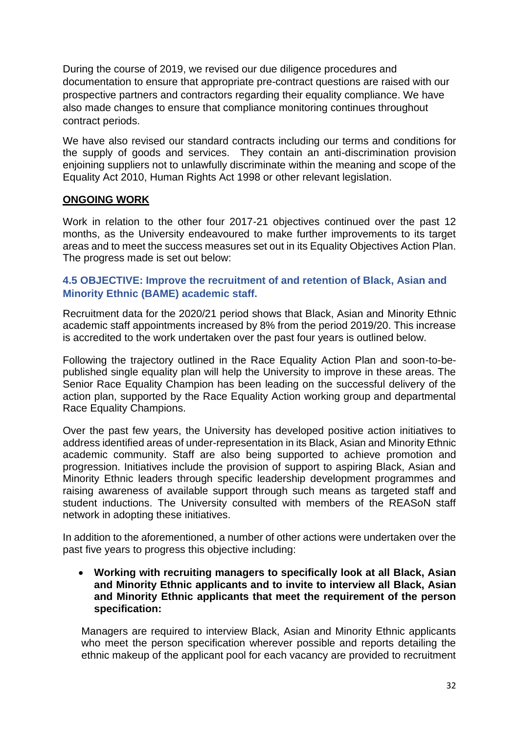During the course of 2019, we revised our due diligence procedures and documentation to ensure that appropriate pre-contract questions are raised with our prospective partners and contractors regarding their equality compliance. We have also made changes to ensure that compliance monitoring continues throughout contract periods.

We have also revised our standard contracts including our terms and conditions for the supply of goods and services. They contain an anti-discrimination provision enjoining suppliers not to unlawfully discriminate within the meaning and scope of the Equality Act 2010, Human Rights Act 1998 or other relevant legislation.

#### **ONGOING WORK**

Work in relation to the other four 2017-21 objectives continued over the past 12 months, as the University endeavoured to make further improvements to its target areas and to meet the success measures set out in its Equality Objectives Action Plan. The progress made is set out below:

#### **4.5 OBJECTIVE: Improve the recruitment of and retention of Black, Asian and Minority Ethnic (BAME) academic staff.**

Recruitment data for the 2020/21 period shows that Black, Asian and Minority Ethnic academic staff appointments increased by 8% from the period 2019/20. This increase is accredited to the work undertaken over the past four years is outlined below.

Following the trajectory outlined in the Race Equality Action Plan and soon-to-bepublished single equality plan will help the University to improve in these areas. The Senior Race Equality Champion has been leading on the successful delivery of the action plan, supported by the Race Equality Action working group and departmental Race Equality Champions.

Over the past few years, the University has developed positive action initiatives to address identified areas of under-representation in its Black, Asian and Minority Ethnic academic community. Staff are also being supported to achieve promotion and progression. Initiatives include the provision of support to aspiring Black, Asian and Minority Ethnic leaders through specific leadership development programmes and raising awareness of available support through such means as targeted staff and student inductions. The University consulted with members of the REASoN staff network in adopting these initiatives.

In addition to the aforementioned, a number of other actions were undertaken over the past five years to progress this objective including:

• **Working with recruiting managers to specifically look at all Black, Asian and Minority Ethnic applicants and to invite to interview all Black, Asian and Minority Ethnic applicants that meet the requirement of the person specification:**

Managers are required to interview Black, Asian and Minority Ethnic applicants who meet the person specification wherever possible and reports detailing the ethnic makeup of the applicant pool for each vacancy are provided to recruitment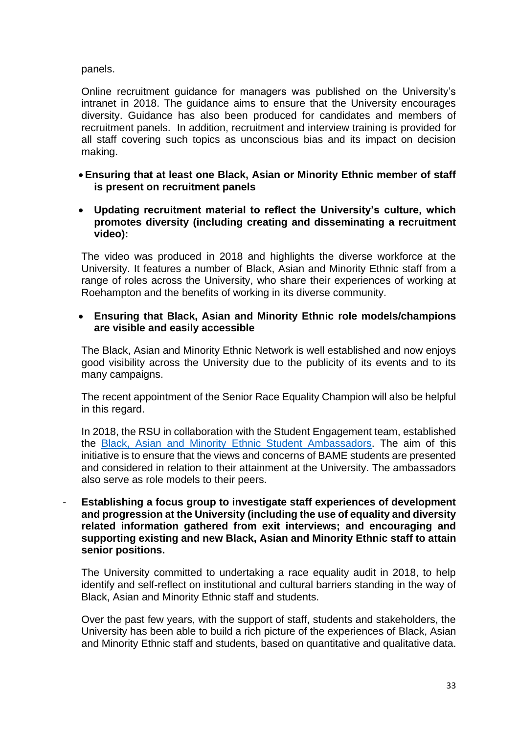#### panels.

Online recruitment guidance for managers was published on the University's intranet in 2018. The guidance aims to ensure that the University encourages diversity. Guidance has also been produced for candidates and members of recruitment panels. In addition, recruitment and interview training is provided for all staff covering such topics as unconscious bias and its impact on decision making.

- **Ensuring that at least one Black, Asian or Minority Ethnic member of staff is present on recruitment panels**
- **Updating recruitment material to reflect the University's culture, which promotes diversity (including creating and disseminating a recruitment video):**

The video was produced in 2018 and highlights the diverse workforce at the University. It features a number of Black, Asian and Minority Ethnic staff from a range of roles across the University, who share their experiences of working at Roehampton and the benefits of working in its diverse community.

#### • **Ensuring that Black, Asian and Minority Ethnic role models/champions are visible and easily accessible**

The Black, Asian and Minority Ethnic Network is well established and now enjoys good visibility across the University due to the publicity of its events and to its many campaigns.

The recent appointment of the Senior Race Equality Champion will also be helpful in this regard.

In 2018, the RSU in collaboration with the Student Engagement team, established the Black, Asian and Minority Ethnic [Student Ambassadors.](https://www.roehamptonstudent.com/studentvoice/bameambassadors/) The aim of this initiative is to ensure that the views and concerns of BAME students are presented and considered in relation to their attainment at the University. The ambassadors also serve as role models to their peers.

- **Establishing a focus group to investigate staff experiences of development and progression at the University (including the use of equality and diversity related information gathered from exit interviews; and encouraging and supporting existing and new Black, Asian and Minority Ethnic staff to attain senior positions.**

The University committed to undertaking a race equality audit in 2018, to help identify and self-reflect on institutional and cultural barriers standing in the way of Black, Asian and Minority Ethnic staff and students.

Over the past few years, with the support of staff, students and stakeholders, the University has been able to build a rich picture of the experiences of Black, Asian and Minority Ethnic staff and students, based on quantitative and qualitative data.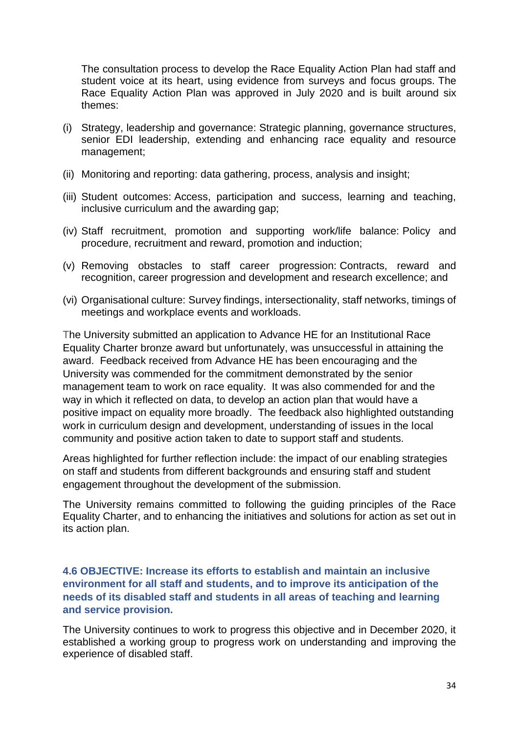The consultation process to develop the Race Equality Action Plan had staff and student voice at its heart, using evidence from surveys and focus groups. The Race Equality Action Plan was approved in July 2020 and is built around six themes:

- (i) Strategy, leadership and governance: Strategic planning, governance structures, senior EDI leadership, extending and enhancing race equality and resource management;
- (ii) Monitoring and reporting: data gathering, process, analysis and insight;
- (iii) Student outcomes: Access, participation and success, learning and teaching, inclusive curriculum and the awarding gap;
- (iv) Staff recruitment, promotion and supporting work/life balance: Policy and procedure, recruitment and reward, promotion and induction;
- (v) Removing obstacles to staff career progression: Contracts, reward and recognition, career progression and development and research excellence; and
- (vi) Organisational culture: Survey findings, intersectionality, staff networks, timings of meetings and workplace events and workloads.

The University submitted an application to Advance HE for an Institutional Race Equality Charter bronze award but unfortunately, was unsuccessful in attaining the award. Feedback received from Advance HE has been encouraging and the University was commended for the commitment demonstrated by the senior management team to work on race equality. It was also commended for and the way in which it reflected on data, to develop an action plan that would have a positive impact on equality more broadly. The feedback also highlighted outstanding work in curriculum design and development, understanding of issues in the local community and positive action taken to date to support staff and students.

Areas highlighted for further reflection include: the impact of our enabling strategies on staff and students from different backgrounds and ensuring staff and student engagement throughout the development of the submission.

The University remains committed to following the guiding principles of the Race Equality Charter, and to enhancing the initiatives and solutions for action as set out in its action plan.

#### **4.6 OBJECTIVE: Increase its efforts to establish and maintain an inclusive environment for all staff and students, and to improve its anticipation of the needs of its disabled staff and students in all areas of teaching and learning and service provision.**

The University continues to work to progress this objective and in December 2020, it established a working group to progress work on understanding and improving the experience of disabled staff.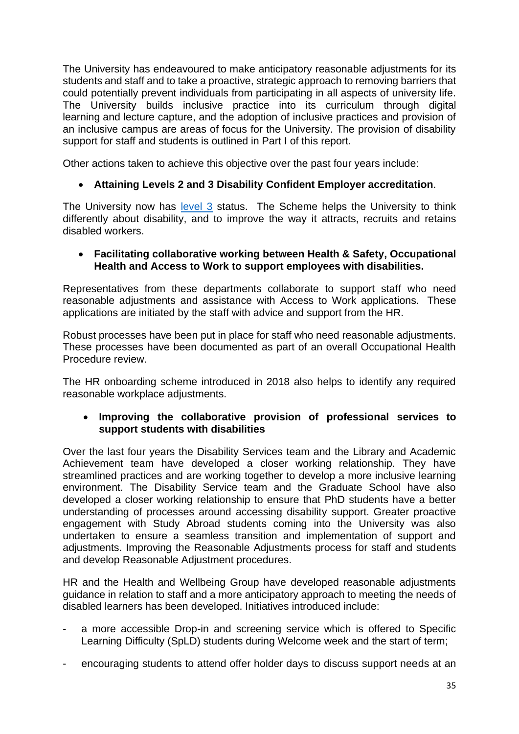The University has endeavoured to make anticipatory reasonable adjustments for its students and staff and to take a proactive, strategic approach to removing barriers that could potentially prevent individuals from participating in all aspects of university life. The University builds inclusive practice into its curriculum through digital learning and lecture capture, and the adoption of inclusive practices and provision of an inclusive campus are areas of focus for the University. The provision of disability support for staff and students is outlined in Part I of this report.

Other actions taken to achieve this objective over the past four years include:

#### • **Attaining Levels 2 and 3 Disability Confident Employer accreditation**.

The University now has [level 3](https://www.gov.uk/government/publications/disability-confident-guidance-for-levels-1-2-and-3/level-3-disability-confident-leader) status. The Scheme helps the University to think differently about disability, and to improve the way it attracts, recruits and retains disabled workers.

#### • **Facilitating collaborative working between Health & Safety, Occupational Health and Access to Work to support employees with disabilities.**

Representatives from these departments collaborate to support staff who need reasonable adjustments and assistance with Access to Work applications. These applications are initiated by the staff with advice and support from the HR.

Robust processes have been put in place for staff who need reasonable adjustments. These processes have been documented as part of an overall Occupational Health Procedure review.

The HR onboarding scheme introduced in 2018 also helps to identify any required reasonable workplace adjustments.

#### • **Improving the collaborative provision of professional services to support students with disabilities**

Over the last four years the Disability Services team and the Library and Academic Achievement team have developed a closer working relationship. They have streamlined practices and are working together to develop a more inclusive learning environment. The Disability Service team and the Graduate School have also developed a closer working relationship to ensure that PhD students have a better understanding of processes around accessing disability support. Greater proactive engagement with Study Abroad students coming into the University was also undertaken to ensure a seamless transition and implementation of support and adjustments. Improving the Reasonable Adjustments process for staff and students and develop Reasonable Adjustment procedures.

HR and the Health and Wellbeing Group have developed reasonable adjustments guidance in relation to staff and a more anticipatory approach to meeting the needs of disabled learners has been developed. Initiatives introduced include:

- a more accessible Drop-in and screening service which is offered to Specific Learning Difficulty (SpLD) students during Welcome week and the start of term;
- encouraging students to attend offer holder days to discuss support needs at an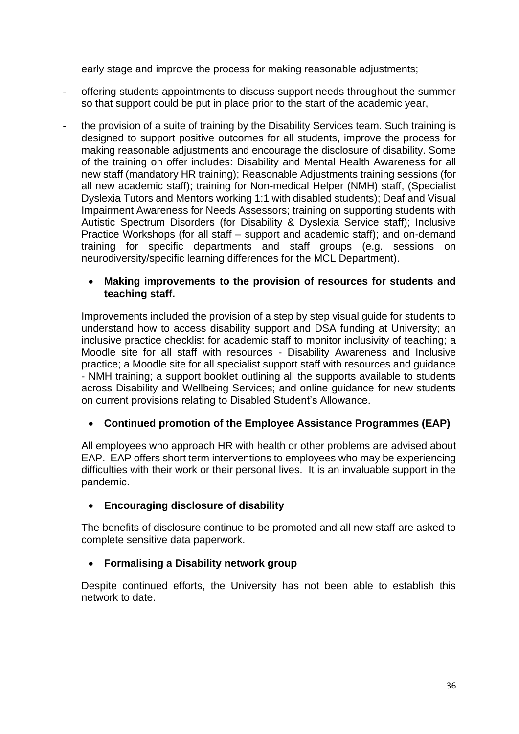early stage and improve the process for making reasonable adjustments;

- offering students appointments to discuss support needs throughout the summer so that support could be put in place prior to the start of the academic year,
- the provision of a suite of training by the Disability Services team. Such training is designed to support positive outcomes for all students, improve the process for making reasonable adjustments and encourage the disclosure of disability. Some of the training on offer includes: Disability and Mental Health Awareness for all new staff (mandatory HR training); Reasonable Adjustments training sessions (for all new academic staff); training for Non-medical Helper (NMH) staff, (Specialist Dyslexia Tutors and Mentors working 1:1 with disabled students); Deaf and Visual Impairment Awareness for Needs Assessors; training on supporting students with Autistic Spectrum Disorders (for Disability & Dyslexia Service staff); Inclusive Practice Workshops (for all staff – support and academic staff); and on-demand training for specific departments and staff groups (e.g. sessions on neurodiversity/specific learning differences for the MCL Department).

#### • **Making improvements to the provision of resources for students and teaching staff.**

Improvements included the provision of a step by step visual guide for students to understand how to access disability support and DSA funding at University; an inclusive practice checklist for academic staff to monitor inclusivity of teaching; a Moodle site for all staff with resources - Disability Awareness and Inclusive practice; a Moodle site for all specialist support staff with resources and guidance - NMH training; a support booklet outlining all the supports available to students across Disability and Wellbeing Services; and online guidance for new students on current provisions relating to Disabled Student's Allowance.

## • **Continued promotion of the Employee Assistance Programmes (EAP)**

All employees who approach HR with health or other problems are advised about EAP. EAP offers short term interventions to employees who may be experiencing difficulties with their work or their personal lives. It is an invaluable support in the pandemic.

### • **Encouraging disclosure of disability**

The benefits of disclosure continue to be promoted and all new staff are asked to complete sensitive data paperwork.

### • **Formalising a Disability network group**

Despite continued efforts, the University has not been able to establish this network to date.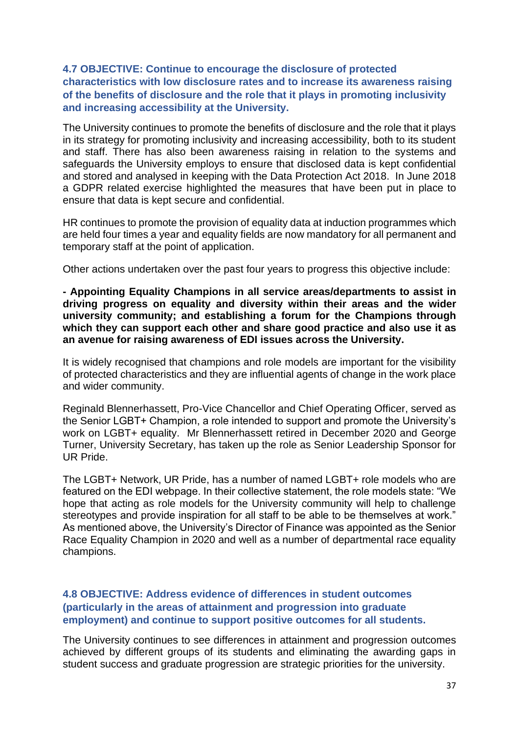### **4.7 OBJECTIVE: Continue to encourage the disclosure of protected characteristics with low disclosure rates and to increase its awareness raising of the benefits of disclosure and the role that it plays in promoting inclusivity and increasing accessibility at the University.**

The University continues to promote the benefits of disclosure and the role that it plays in its strategy for promoting inclusivity and increasing accessibility, both to its student and staff. There has also been awareness raising in relation to the systems and safeguards the University employs to ensure that disclosed data is kept confidential and stored and analysed in keeping with the Data Protection Act 2018. In June 2018 a GDPR related exercise highlighted the measures that have been put in place to ensure that data is kept secure and confidential.

HR continues to promote the provision of equality data at induction programmes which are held four times a year and equality fields are now mandatory for all permanent and temporary staff at the point of application.

Other actions undertaken over the past four years to progress this objective include:

**- Appointing Equality Champions in all service areas/departments to assist in driving progress on equality and diversity within their areas and the wider university community; and establishing a forum for the Champions through which they can support each other and share good practice and also use it as an avenue for raising awareness of EDI issues across the University.**

It is widely recognised that champions and role models are important for the visibility of protected characteristics and they are influential agents of change in the work place and wider community.

Reginald Blennerhassett, Pro-Vice Chancellor and Chief Operating Officer, served as the Senior LGBT+ Champion, a role intended to support and promote the University's work on LGBT+ equality. Mr Blennerhassett retired in December 2020 and George Turner, University Secretary, has taken up the role as Senior Leadership Sponsor for UR Pride.

The LGBT+ Network, UR Pride, has a number of named LGBT+ role models who are featured on the EDI webpage. In their collective statement, the role models state: "We hope that acting as role models for the University community will help to challenge stereotypes and provide inspiration for all staff to be able to be themselves at work." As mentioned above, the University's Director of Finance was appointed as the Senior Race Equality Champion in 2020 and well as a number of departmental race equality champions.

#### **4.8 OBJECTIVE: Address evidence of differences in student outcomes (particularly in the areas of attainment and progression into graduate employment) and continue to support positive outcomes for all students.**

The University continues to see differences in attainment and progression outcomes achieved by different groups of its students and eliminating the awarding gaps in student success and graduate progression are strategic priorities for the university.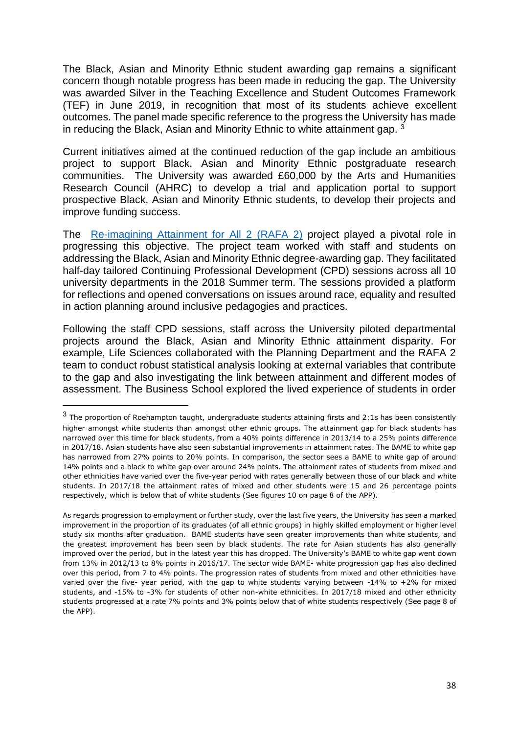The Black, Asian and Minority Ethnic student awarding gap remains a significant concern though notable progress has been made in reducing the gap. The University was awarded Silver in the Teaching Excellence and Student Outcomes Framework (TEF) in June 2019, in recognition that most of its students achieve excellent outcomes. The panel made specific reference to the progress the University has made in reducing the Black, Asian and Minority Ethnic to white attainment gap. <sup>3</sup>

Current initiatives aimed at the continued reduction of the gap include an ambitious project to support Black, Asian and Minority Ethnic postgraduate research communities. The University was awarded £60,000 by the Arts and Humanities Research Council (AHRC) to develop a trial and application portal to support prospective Black, Asian and Minority Ethnic students, to develop their projects and improve funding success.

The [Re-imagining Attainment for All 2 \(RAFA 2\)](https://rafa2.org/homepage/) project played a pivotal role in progressing this objective. The project team worked with staff and students on addressing the Black, Asian and Minority Ethnic degree-awarding gap. They facilitated half-day tailored Continuing Professional Development (CPD) sessions across all 10 university departments in the 2018 Summer term. The sessions provided a platform for reflections and opened conversations on issues around race, equality and resulted in action planning around inclusive pedagogies and practices.

Following the staff CPD sessions, staff across the University piloted departmental projects around the Black, Asian and Minority Ethnic attainment disparity. For example, Life Sciences collaborated with the Planning Department and the RAFA 2 team to conduct robust statistical analysis looking at external variables that contribute to the gap and also investigating the link between attainment and different modes of assessment. The Business School explored the lived experience of students in order

 $^3$  The proportion of Roehampton taught, undergraduate students attaining firsts and 2:1s has been consistently higher amongst white students than amongst other ethnic groups. The attainment gap for black students has narrowed over this time for black students, from a 40% points difference in 2013/14 to a 25% points difference in 2017/18. Asian students have also seen substantial improvements in attainment rates. The BAME to white gap has narrowed from 27% points to 20% points. In comparison, the sector sees a BAME to white gap of around 14% points and a black to white gap over around 24% points. The attainment rates of students from mixed and other ethnicities have varied over the five-year period with rates generally between those of our black and white students. In 2017/18 the attainment rates of mixed and other students were 15 and 26 percentage points respectively, which is below that of white students (See figures 10 on page 8 of the APP).

As regards progression to employment or further study, over the last five years, the University has seen a marked improvement in the proportion of its graduates (of all ethnic groups) in highly skilled employment or higher level study six months after graduation. BAME students have seen greater improvements than white students, and the greatest improvement has been seen by black students. The rate for Asian students has also generally improved over the period, but in the latest year this has dropped. The University's BAME to white gap went down from 13% in 2012/13 to 8% points in 2016/17. The sector wide BAME- white progression gap has also declined over this period, from 7 to 4% points. The progression rates of students from mixed and other ethnicities have varied over the five- year period, with the gap to white students varying between -14% to +2% for mixed students, and -15% to -3% for students of other non-white ethnicities. In 2017/18 mixed and other ethnicity students progressed at a rate 7% points and 3% points below that of white students respectively (See page 8 of the APP).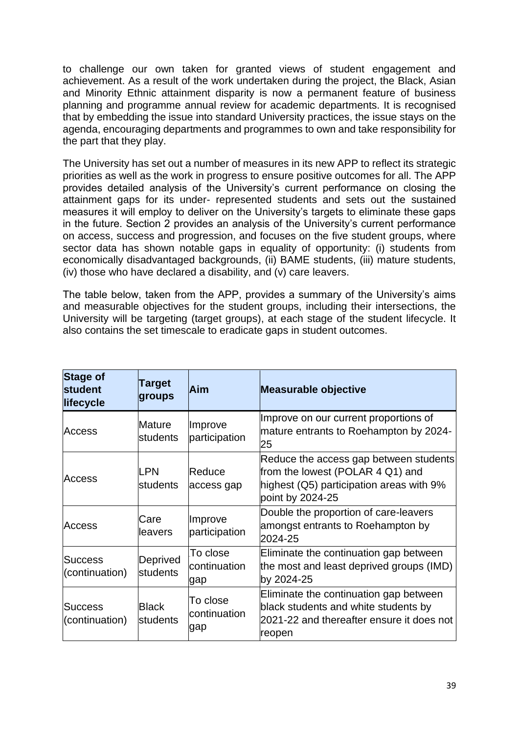to challenge our own taken for granted views of student engagement and achievement. As a result of the work undertaken during the project, the Black, Asian and Minority Ethnic attainment disparity is now a permanent feature of business planning and programme annual review for academic departments. It is recognised that by embedding the issue into standard University practices, the issue stays on the agenda, encouraging departments and programmes to own and take responsibility for the part that they play.

The University has set out a number of measures in its new APP to reflect its strategic priorities as well as the work in progress to ensure positive outcomes for all. The APP provides detailed analysis of the University's current performance on closing the attainment gaps for its under- represented students and sets out the sustained measures it will employ to deliver on the University's targets to eliminate these gaps in the future. Section 2 provides an analysis of the University's current performance on access, success and progression, and focuses on the five student groups, where sector data has shown notable gaps in equality of opportunity: (i) students from economically disadvantaged backgrounds, (ii) BAME students, (iii) mature students, (iv) those who have declared a disability, and (v) care leavers.

The table below, taken from the APP, provides a summary of the University's aims and measurable objectives for the student groups, including their intersections, the University will be targeting (target groups), at each stage of the student lifecycle. It also contains the set timescale to eradicate gaps in student outcomes.

| <b>Stage of</b><br>student<br>lifecycle | Target<br>groups         | Aim                             | <b>Measurable objective</b>                                                                                                                |
|-----------------------------------------|--------------------------|---------------------------------|--------------------------------------------------------------------------------------------------------------------------------------------|
| <b>Access</b>                           | Mature<br>students       | Improve<br>participation        | Improve on our current proportions of<br>mature entrants to Roehampton by 2024-<br>25                                                      |
| Access                                  | LPN<br>students          | Reduce<br>access gap            | Reduce the access gap between students<br>from the lowest (POLAR 4 Q1) and<br>highest (Q5) participation areas with 9%<br>point by 2024-25 |
| Access                                  | Care<br>leavers          | Improve<br>participation        | Double the proportion of care-leavers<br>amongst entrants to Roehampton by<br>2024-25                                                      |
| <b>Success</b><br>(continuation)        | Deprived<br>students     | To close<br>continuation<br>gap | Eliminate the continuation gap between<br>the most and least deprived groups (IMD)<br>by 2024-25                                           |
| Success<br>(continuation)               | <b>Black</b><br>students | To close<br>continuation<br>gap | Eliminate the continuation gap between<br>black students and white students by<br>2021-22 and thereafter ensure it does not<br>reopen      |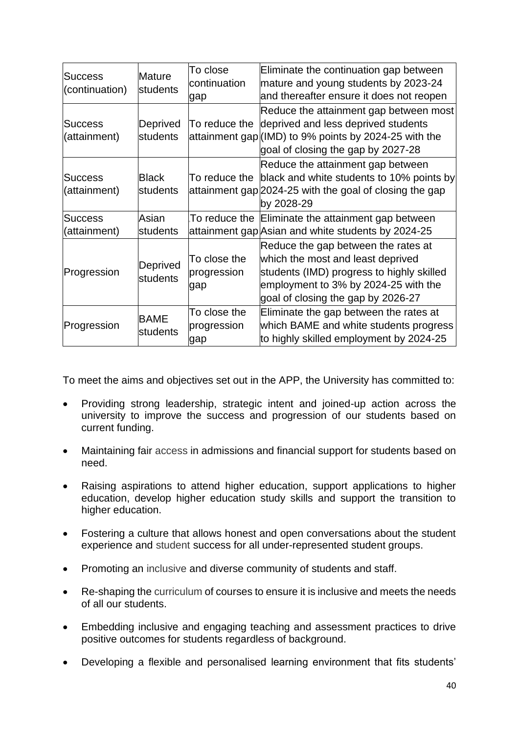| <b>Success</b><br>(continuation) | Mature<br>students       | To close<br>continuation<br>gap    | Eliminate the continuation gap between<br>mature and young students by 2023-24<br>and thereafter ensure it does not reopen                                                                          |
|----------------------------------|--------------------------|------------------------------------|-----------------------------------------------------------------------------------------------------------------------------------------------------------------------------------------------------|
| <b>Success</b><br>(attainment)   | Deprived<br>students     | To reduce the                      | Reduce the attainment gap between most<br>deprived and less deprived students<br>attainment gap (IMD) to 9% points by 2024-25 with the<br>goal of closing the gap by 2027-28                        |
| <b>Success</b><br>(attainment)   | <b>Black</b><br>students | To reduce the                      | Reduce the attainment gap between<br>black and white students to 10% points by<br>attainment gap 2024-25 with the goal of closing the gap<br>by 2028-29                                             |
| <b>Success</b><br>(attainment)   | Asian<br>students        |                                    | To reduce the Eliminate the attainment gap between<br>attainment gap Asian and white students by 2024-25                                                                                            |
| Progression                      | Deprived<br>students     | To close the<br>progression<br>gap | Reduce the gap between the rates at<br>which the most and least deprived<br>students (IMD) progress to highly skilled<br>employment to 3% by 2024-25 with the<br>goal of closing the gap by 2026-27 |
| Progression                      | BAME<br>students         | To close the<br>progression<br>gap | Eliminate the gap between the rates at<br>which BAME and white students progress<br>to highly skilled employment by 2024-25                                                                         |

To meet the aims and objectives set out in the APP, the University has committed to:

- Providing strong leadership, strategic intent and joined-up action across the university to improve the success and progression of our students based on current funding.
- Maintaining fair access in admissions and financial support for students based on need.
- Raising aspirations to attend higher education, support applications to higher education, develop higher education study skills and support the transition to higher education.
- Fostering a culture that allows honest and open conversations about the student experience and student success for all under-represented student groups.
- Promoting an inclusive and diverse community of students and staff.
- Re-shaping the curriculum of courses to ensure it is inclusive and meets the needs of all our students.
- Embedding inclusive and engaging teaching and assessment practices to drive positive outcomes for students regardless of background.
- Developing a flexible and personalised learning environment that fits students'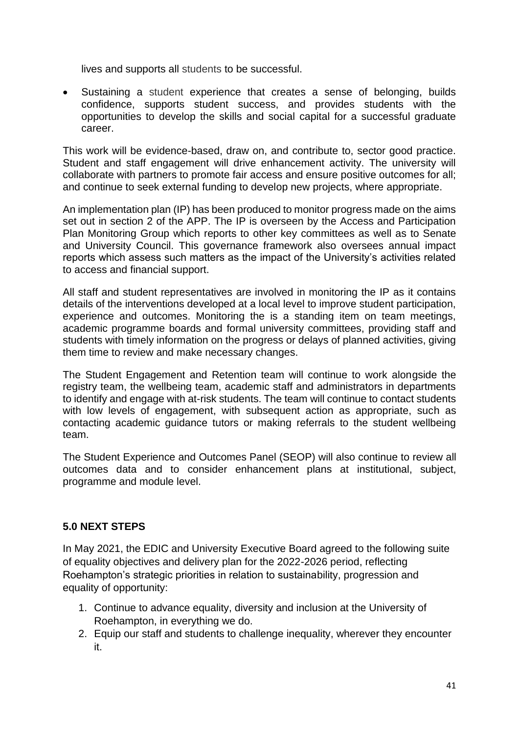lives and supports all students to be successful.

• Sustaining a student experience that creates a sense of belonging, builds confidence, supports student success, and provides students with the opportunities to develop the skills and social capital for a successful graduate career.

This work will be evidence-based, draw on, and contribute to, sector good practice. Student and staff engagement will drive enhancement activity. The university will collaborate with partners to promote fair access and ensure positive outcomes for all; and continue to seek external funding to develop new projects, where appropriate.

An implementation plan (IP) has been produced to monitor progress made on the aims set out in section 2 of the APP. The IP is overseen by the Access and Participation Plan Monitoring Group which reports to other key committees as well as to Senate and University Council. This governance framework also oversees annual impact reports which assess such matters as the impact of the University's activities related to access and financial support.

All staff and student representatives are involved in monitoring the IP as it contains details of the interventions developed at a local level to improve student participation, experience and outcomes. Monitoring the is a standing item on team meetings, academic programme boards and formal university committees, providing staff and students with timely information on the progress or delays of planned activities, giving them time to review and make necessary changes.

The Student Engagement and Retention team will continue to work alongside the registry team, the wellbeing team, academic staff and administrators in departments to identify and engage with at-risk students. The team will continue to contact students with low levels of engagement, with subsequent action as appropriate, such as contacting academic guidance tutors or making referrals to the student wellbeing team.

The Student Experience and Outcomes Panel (SEOP) will also continue to review all outcomes data and to consider enhancement plans at institutional, subject, programme and module level.

### **5.0 NEXT STEPS**

In May 2021, the EDIC and University Executive Board agreed to the following suite of equality objectives and delivery plan for the 2022-2026 period, reflecting Roehampton's strategic priorities in relation to sustainability, progression and equality of opportunity:

- 1. Continue to advance equality, diversity and inclusion at the University of Roehampton, in everything we do.
- 2. Equip our staff and students to challenge inequality, wherever they encounter it.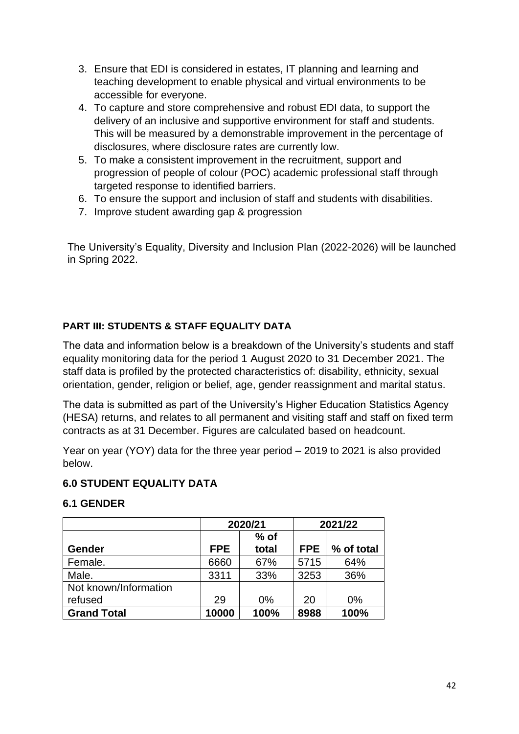- 3. Ensure that EDI is considered in estates, IT planning and learning and teaching development to enable physical and virtual environments to be accessible for everyone.
- 4. To capture and store comprehensive and robust EDI data, to support the delivery of an inclusive and supportive environment for staff and students. This will be measured by a demonstrable improvement in the percentage of disclosures, where disclosure rates are currently low.
- 5. To make a consistent improvement in the recruitment, support and progression of people of colour (POC) academic professional staff through targeted response to identified barriers.
- 6. To ensure the support and inclusion of staff and students with disabilities.
- 7. Improve student awarding gap & progression

The University's Equality, Diversity and Inclusion Plan (2022-2026) will be launched in Spring 2022.

## **PART III: STUDENTS & STAFF EQUALITY DATA**

The data and information below is a breakdown of the University's students and staff equality monitoring data for the period 1 August 2020 to 31 December 2021. The staff data is profiled by the protected characteristics of: disability, ethnicity, sexual orientation, gender, religion or belief, age, gender reassignment and marital status.

The data is submitted as part of the University's Higher Education Statistics Agency (HESA) returns, and relates to all permanent and visiting staff and staff on fixed term contracts as at 31 December. Figures are calculated based on headcount.

Year on year (YOY) data for the three year period – 2019 to 2021 is also provided below.

### **6.0 STUDENT EQUALITY DATA**

### **6.1 GENDER**

|                       | 2020/21    |        | 2021/22    |            |
|-----------------------|------------|--------|------------|------------|
|                       |            | $%$ of |            |            |
| Gender                | <b>FPE</b> | total  | <b>FPE</b> | % of total |
| Female.               | 6660       | 67%    | 5715       | 64%        |
| Male.                 | 3311       | 33%    | 3253       | 36%        |
| Not known/Information |            |        |            |            |
| refused               | 29         | 0%     | 20         | $0\%$      |
| <b>Grand Total</b>    | 10000      | 100%   | 8988       | 100%       |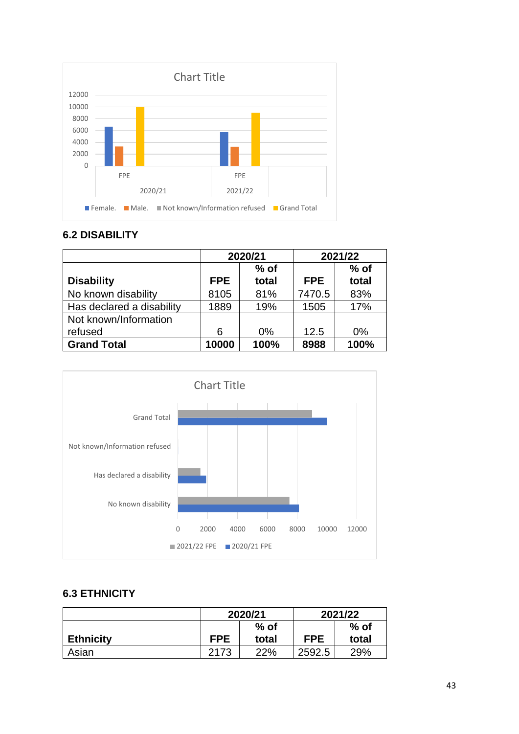

## **6.2 DISABILITY**

|                           | 2020/21    |        | 2021/22    |        |
|---------------------------|------------|--------|------------|--------|
|                           |            | $%$ of |            | $%$ of |
| <b>Disability</b>         | <b>FPE</b> | total  | <b>FPE</b> | total  |
| No known disability       | 8105       | 81%    | 7470.5     | 83%    |
| Has declared a disability | 1889       | 19%    | 1505       | 17%    |
| Not known/Information     |            |        |            |        |
| refused                   | 6          | $0\%$  | 12.5       | $0\%$  |
| <b>Grand Total</b>        | 10000      | 100%   | 8988       | 100%   |



## **6.3 ETHNICITY**

|                  | 2020/21    |       | 2021/22    |        |
|------------------|------------|-------|------------|--------|
|                  | $%$ of     |       |            | $%$ of |
| <b>Ethnicity</b> | <b>FPE</b> | total | <b>FPE</b> | total  |
| Asian            | 2173       | 22%   | 2592.5     | 29%    |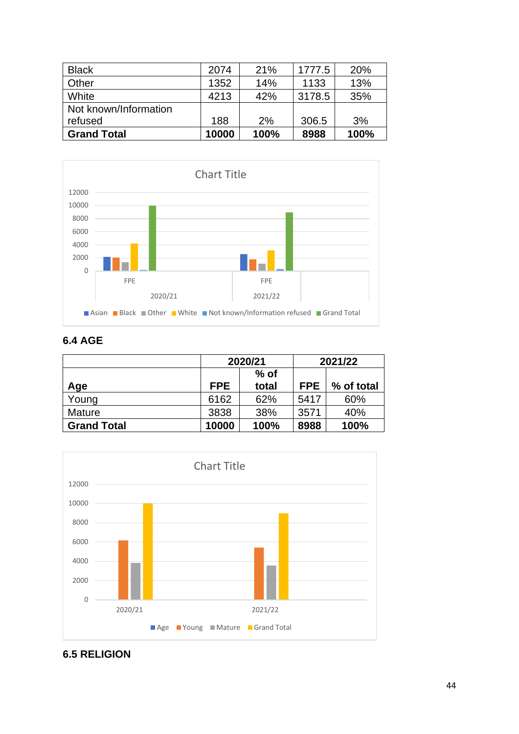| <b>Black</b>          | 2074  | 21%  | 1777.5 | 20%  |
|-----------------------|-------|------|--------|------|
| Other                 | 1352  | 14%  | 1133   | 13%  |
| White                 | 4213  | 42%  | 3178.5 | 35%  |
| Not known/Information |       |      |        |      |
| refused               | 188   | 2%   | 306.5  | 3%   |
| <b>Grand Total</b>    | 10000 | 100% | 8988   | 100% |



## **6.4 AGE**

|                    | 2020/21    |       | 2021/22    |            |
|--------------------|------------|-------|------------|------------|
|                    | $%$ of     |       |            |            |
| Age                | <b>FPE</b> | total | <b>FPE</b> | % of total |
| Young              | 6162       | 62%   | 5417       | 60%        |
| <b>Mature</b>      | 3838       | 38%   | 3571       | 40%        |
| <b>Grand Total</b> | 10000      | 100%  | 8988       | 100%       |



## **6.5 RELIGION**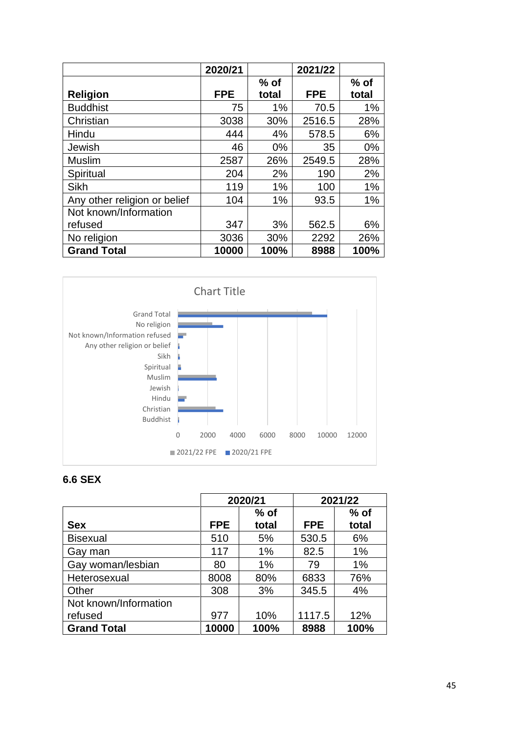|                              | 2020/21    |        | 2021/22    |        |
|------------------------------|------------|--------|------------|--------|
|                              |            | $%$ of |            | $%$ of |
| <b>Religion</b>              | <b>FPE</b> | total  | <b>FPE</b> | total  |
| <b>Buddhist</b>              | 75         | $1\%$  | 70.5       | 1%     |
| Christian                    | 3038       | 30%    | 2516.5     | 28%    |
| Hindu                        | 444        | 4%     | 578.5      | 6%     |
| Jewish                       | 46         | $0\%$  | 35         | 0%     |
| <b>Muslim</b>                | 2587       | 26%    | 2549.5     | 28%    |
| Spiritual                    | 204        | 2%     | 190        | 2%     |
| Sikh                         | 119        | $1\%$  | 100        | 1%     |
| Any other religion or belief | 104        | 1%     | 93.5       | 1%     |
| Not known/Information        |            |        |            |        |
| refused                      | 347        | 3%     | 562.5      | 6%     |
| No religion                  | 3036       | 30%    | 2292       | 26%    |
| <b>Grand Total</b>           | 10000      | 100%   | 8988       | 100%   |



## **6.6 SEX**

|                       | 2020/21 |        | 2021/22    |        |
|-----------------------|---------|--------|------------|--------|
|                       |         | $%$ of |            | $%$ of |
| <b>Sex</b>            | FPE     | total  | <b>FPE</b> | total  |
| <b>Bisexual</b>       | 510     | 5%     | 530.5      | 6%     |
| Gay man               | 117     | 1%     | 82.5       | 1%     |
| Gay woman/lesbian     | 80      | 1%     | 79         | 1%     |
| Heterosexual          | 8008    | 80%    | 6833       | 76%    |
| Other                 | 308     | 3%     | 345.5      | 4%     |
| Not known/Information |         |        |            |        |
| refused               | 977     | 10%    | 1117.5     | 12%    |
| <b>Grand Total</b>    | 10000   | 100%   | 8988       | 100%   |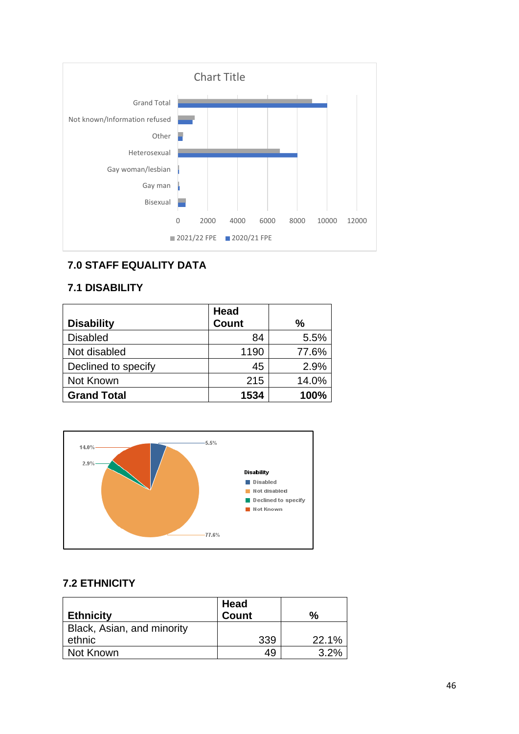

## **7.0 STAFF EQUALITY DATA**

#### **7.1 DISABILITY**

|                     | <b>Head</b>  |       |
|---------------------|--------------|-------|
| <b>Disability</b>   | <b>Count</b> | %     |
| <b>Disabled</b>     | 84           | 5.5%  |
| Not disabled        | 1190         | 77.6% |
| Declined to specify | 45           | 2.9%  |
| Not Known           | 215          | 14.0% |
| <b>Grand Total</b>  | 1534         | 100%  |



## **7.2 ETHNICITY**

|                            | Head         |       |
|----------------------------|--------------|-------|
| <b>Ethnicity</b>           | <b>Count</b> | %     |
| Black, Asian, and minority |              |       |
| ethnic                     | 339          | 22.1% |
| Not Known                  | 49           | 3.2%  |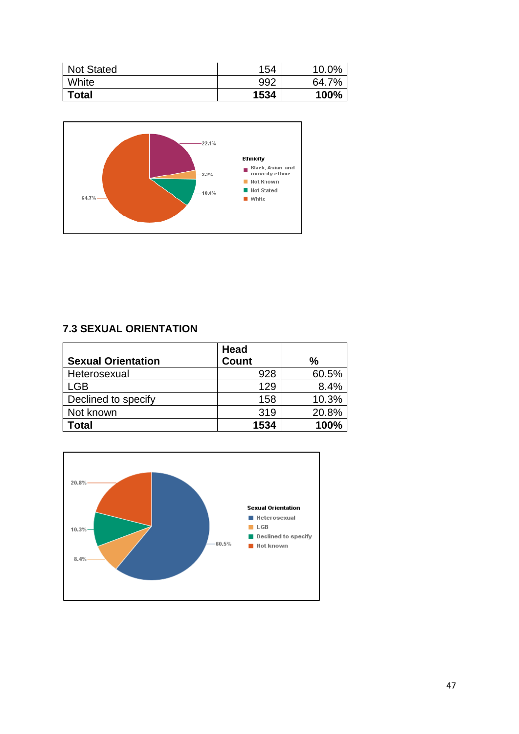| <b>Not Stated</b> | 154  | 10.0% |
|-------------------|------|-------|
| White             | 992  | 64.7% |
| <b>Total</b>      | 1534 | 100%  |



## **7.3 SEXUAL ORIENTATION**

| <b>Sexual Orientation</b> | <b>Head</b><br><b>Count</b> | $\frac{9}{6}$ |
|---------------------------|-----------------------------|---------------|
|                           |                             |               |
| Heterosexual              | 928                         | 60.5%         |
| LGB                       | 129                         | 8.4%          |
| Declined to specify       | 158                         | 10.3%         |
| Not known                 | 319                         | 20.8%         |
| Total                     | 1534                        | 100%          |

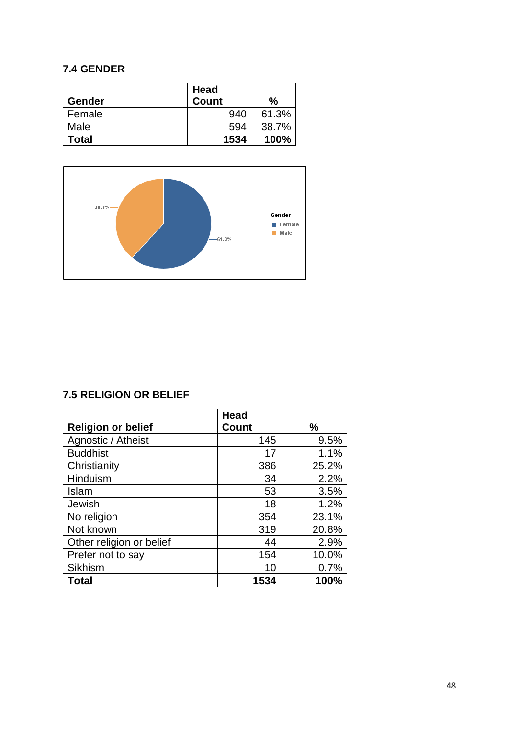## **7.4 GENDER**

| Gender | <b>Head</b><br><b>Count</b> | %     |
|--------|-----------------------------|-------|
| Female | 940                         | 61.3% |
| Male   | 594                         | 38.7% |
| Total  | 1534                        | 100%  |



## **7.5 RELIGION OR BELIEF**

|                           | <b>Head</b>  |       |
|---------------------------|--------------|-------|
| <b>Religion or belief</b> | <b>Count</b> | $\%$  |
| Agnostic / Atheist        | 145          | 9.5%  |
| <b>Buddhist</b>           | 17           | 1.1%  |
| Christianity              | 386          | 25.2% |
| Hinduism                  | 34           | 2.2%  |
| Islam                     | 53           | 3.5%  |
| Jewish                    | 18           | 1.2%  |
| No religion               | 354          | 23.1% |
| Not known                 | 319          | 20.8% |
| Other religion or belief  | 44           | 2.9%  |
| Prefer not to say         | 154          | 10.0% |
| <b>Sikhism</b>            | 10           | 0.7%  |
| <b>Total</b>              | 1534         | 100%  |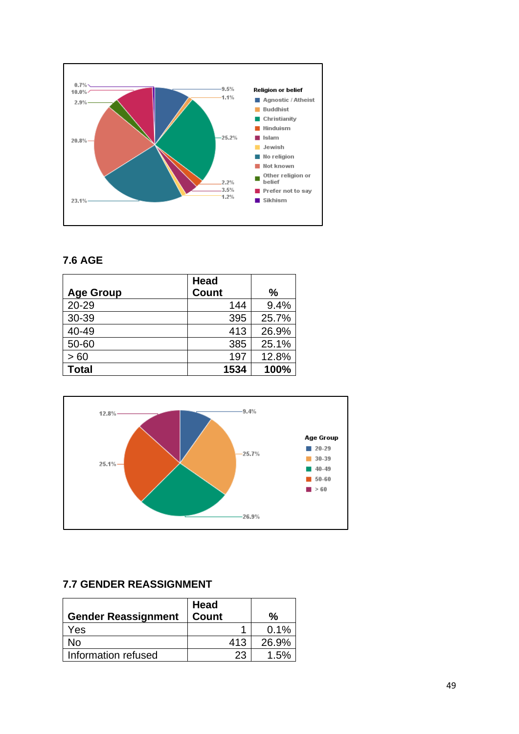

## **7.6 AGE**

|                  | <b>Head</b>  |       |
|------------------|--------------|-------|
| <b>Age Group</b> | <b>Count</b> | %     |
| 20-29            | 144          | 9.4%  |
| 30-39            | 395          | 25.7% |
| 40-49            | 413          | 26.9% |
| 50-60            | 385          | 25.1% |
| >60              | 197          | 12.8% |
| <b>Total</b>     | 1534         | 100%  |



## **7.7 GENDER REASSIGNMENT**

| <b>Gender Reassignment</b> | Head<br><b>Count</b> | %     |
|----------------------------|----------------------|-------|
| Yes                        |                      | 0.1%  |
| No                         | 413                  | 26.9% |
| Information refused        | 23                   | 1.5%  |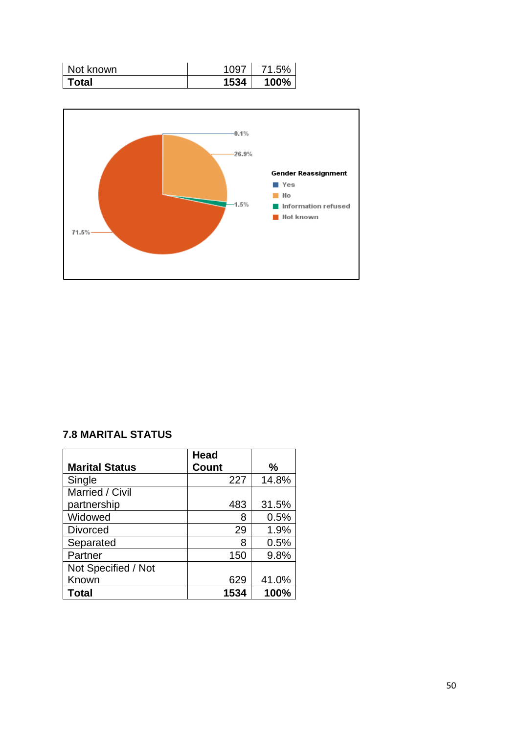| Not known | 1097 | 71.5% |
|-----------|------|-------|
| Total     | 1534 | 100%  |



## **7.8 MARITAL STATUS**

|                       | <b>Head</b> |     |       |
|-----------------------|-------------|-----|-------|
| <b>Marital Status</b> | Count       |     | %     |
| Single                | 227         |     | 14.8% |
| Married / Civil       |             |     |       |
| partnership           | 483         |     | 31.5% |
| Widowed               |             | 8   | 0.5%  |
| <b>Divorced</b>       |             | 29  | 1.9%  |
| Separated             |             | 8   | 0.5%  |
| Partner               |             | 150 | 9.8%  |
| Not Specified / Not   |             |     |       |
| Known                 | 629         |     | 41.0% |
| Total                 | 1534        |     | 100%  |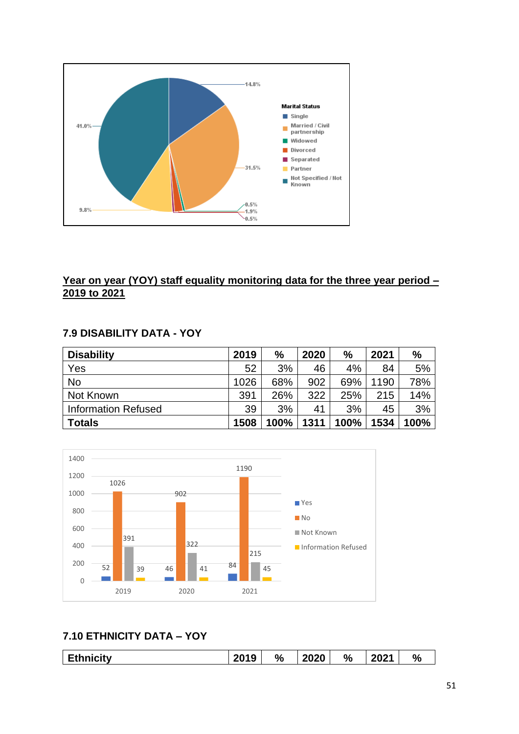

## **Year on year (YOY) staff equality monitoring data for the three year period – 2019 to 2021**

## **7.9 DISABILITY DATA - YOY**

| <b>Disability</b>          | 2019 | %    | 2020 | $\frac{0}{0}$ | 2021 | $\frac{1}{2}$ |
|----------------------------|------|------|------|---------------|------|---------------|
| Yes                        | 52   | 3%   | 46   | 4%            | 84   | 5%            |
| <b>No</b>                  | 1026 | 68%  | 902  | 69%           | 1190 | 78%           |
| Not Known                  | 391  | 26%  | 322  | 25%           | 215  | 14%           |
| <b>Information Refused</b> | 39   | 3%   | 41   | 3%            | 45   | 3%            |
| <b>Totals</b>              | 1508 | 100% | 1311 | 100%          | 1534 | 100%          |



## **7.10 ETHNICITY DATA – YOY**

|  | <b>Inicity</b><br>--- | 2010<br>Ð<br>ζU | % | 2020 | $\%$ | <br>202 | O.<br>70 |
|--|-----------------------|-----------------|---|------|------|---------|----------|
|--|-----------------------|-----------------|---|------|------|---------|----------|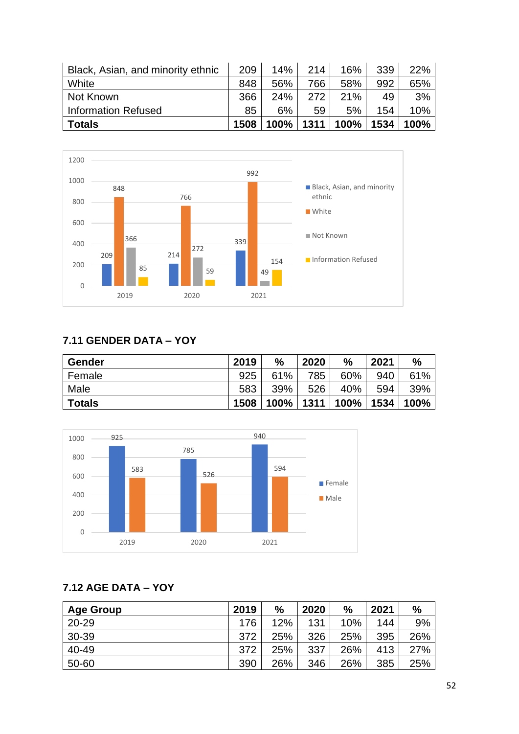| Black, Asian, and minority ethnic | 209  | 14%            | 214 | 16%  | 339  | 22%  |
|-----------------------------------|------|----------------|-----|------|------|------|
| White                             | 848  | 56%            | 766 | 58%  | 992  | 65%  |
| Not Known                         | 366  | 24%            | 272 | 21%  | 49   | 3%   |
| <b>Information Refused</b>        | 85   | 6%             | 59  | 5%   | 154  | 10%  |
| <b>Totals</b>                     | 1508 | $100\%$   1311 |     | 100% | 1534 | 100% |



## **7.11 GENDER DATA – YOY**

| <b>Gender</b> | 2019 | %    | 2020 | $\frac{9}{6}$ | 2021 | %    |
|---------------|------|------|------|---------------|------|------|
| Female        | 925  | 61%  | 785  | 60%           | 940  | 61%  |
| Male          | 583  | 39%  | 526  | 40%           | 594  | 39%  |
| <b>Totals</b> | 1508 | 100% | 1311 | 100%          | 1534 | 100% |



## **7.12 AGE DATA – YOY**

| <b>Age Group</b> | 2019 | $\frac{0}{0}$ | 2020 | $\%$ | 2021 | %   |
|------------------|------|---------------|------|------|------|-----|
| $20 - 29$        | 176  | 12%           | 131  | 10%  | 144  | 9%  |
| 30-39            | 372  | 25%           | 326  | 25%  | 395  | 26% |
| 40-49            | 372  | 25%           | 337  | 26%  | 413  | 27% |
| 50-60            | 390  | 26%           | 346  | 26%  | 385  | 25% |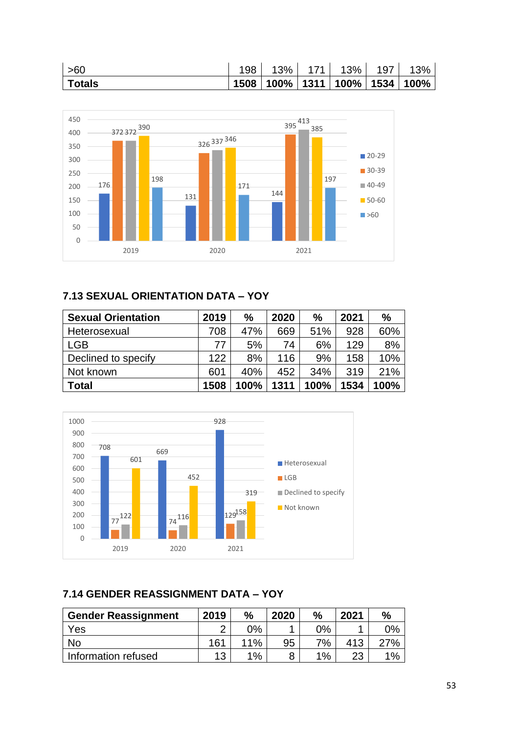| $\mid$ >60 | 198 |                                       | 13%   171   13%   197   13% |  |
|------------|-----|---------------------------------------|-----------------------------|--|
| ∣ Totals   |     | │1508 │100% │1311 │100% │1534 │100% │ |                             |  |



## **7.13 SEXUAL ORIENTATION DATA – YOY**

| <b>Sexual Orientation</b> | 2019 | $\frac{0}{0}$ | 2020 | $\frac{0}{0}$ | 2021 | $\frac{0}{0}$ |
|---------------------------|------|---------------|------|---------------|------|---------------|
| Heterosexual              | 708  | 47%           | 669  | 51%           | 928  | 60%           |
| <b>LGB</b>                | 77   | 5%            | 74   | 6%            | 129  | 8%            |
| Declined to specify       | 122  | 8%            | 116  | 9%            | 158  | 10%           |
| Not known                 | 601  | 40%           | 452  | 34%           | 319  | 21%           |
| <b>Total</b>              | 1508 | 100%          | 1311 | 100%          | 1534 | 100%          |



## **7.14 GENDER REASSIGNMENT DATA – YOY**

| <b>Gender Reassignment</b> | 2019 | %   | 2020 | $\frac{0}{0}$ | 2021 | $\%$ |
|----------------------------|------|-----|------|---------------|------|------|
| Yes                        |      | 0%  |      | 0%            |      | 9%   |
| No                         | 161  | 11% | 95   | 7%            | 413  | 27%  |
| Information refused        | 13   | 1%  | 8    | $1\%$         | າາ   | 1%   |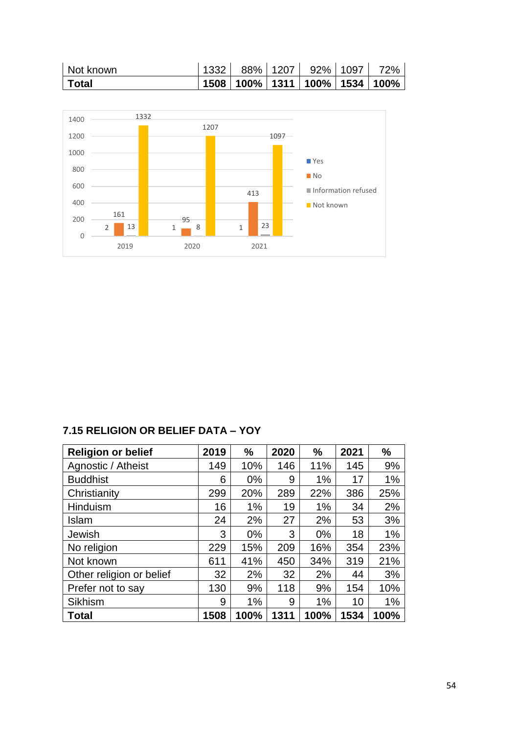| Not known    |  | 1332   88%   1207   92%   1097          | 72% |
|--------------|--|-----------------------------------------|-----|
| <b>Total</b> |  | 1508   100%   1311   100%   1534   100% |     |



## **7.15 RELIGION OR BELIEF DATA – YOY**

| <b>Religion or belief</b> | 2019 | $\frac{0}{0}$ | 2020 | %     | 2021 | $\%$ |
|---------------------------|------|---------------|------|-------|------|------|
| Agnostic / Atheist        | 149  | 10%           | 146  | 11%   | 145  | 9%   |
| <b>Buddhist</b>           | 6    | $0\%$         | 9    | 1%    | 17   | 1%   |
| Christianity              | 299  | 20%           | 289  | 22%   | 386  | 25%  |
| Hinduism                  | 16   | 1%            | 19   | 1%    | 34   | 2%   |
| Islam                     | 24   | 2%            | 27   | 2%    | 53   | 3%   |
| Jewish                    | 3    | $0\%$         | 3    | $0\%$ | 18   | 1%   |
| No religion               | 229  | 15%           | 209  | 16%   | 354  | 23%  |
| Not known                 | 611  | 41%           | 450  | 34%   | 319  | 21%  |
| Other religion or belief  | 32   | 2%            | 32   | 2%    | 44   | 3%   |
| Prefer not to say         | 130  | 9%            | 118  | 9%    | 154  | 10%  |
| <b>Sikhism</b>            | 9    | 1%            | 9    | 1%    | 10   | 1%   |
| <b>Total</b>              | 1508 | 100%          | 1311 | 100%  | 1534 | 100% |